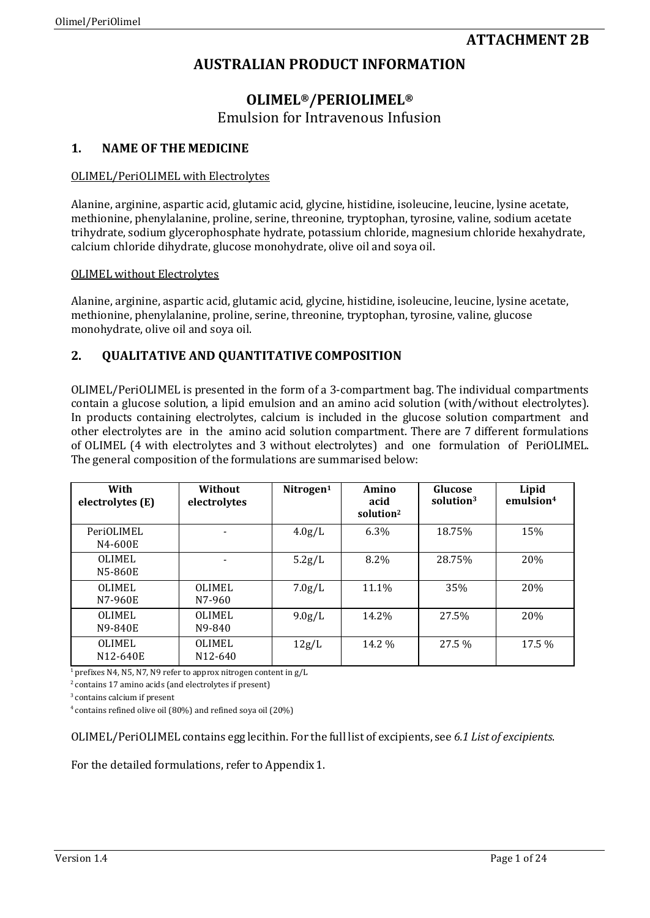# **AUSTRALIAN PRODUCT INFORMATION**

# **OLIMEL®/PERIOLIMEL®** Emulsion for Intravenous Infusion

## **1. NAME OF THE MEDICINE**

## OLIMEL/PeriOLIMEL with Electrolytes

Alanine, arginine, aspartic acid, glutamic acid, glycine, histidine, isoleucine, leucine, lysine acetate, methionine, phenylalanine, proline, serine, threonine, tryptophan, tyrosine, valine, sodium acetate trihydrate, sodium glycerophosphate hydrate, potassium chloride, magnesium chloride hexahydrate, calcium chloride dihydrate, glucose monohydrate, olive oil and soya oil.

## OLIMEL without Electrolytes

Alanine, arginine, aspartic acid, glutamic acid, glycine, histidine, isoleucine, leucine, lysine acetate, methionine, phenylalanine, proline, serine, threonine, tryptophan, tyrosine, valine, glucose monohydrate, olive oil and soya oil.

## **2. QUALITATIVE AND QUANTITATIVE COMPOSITION**

OLIMEL/PeriOLIMEL is presented in the form of a 3-compartment bag. The individual compartments contain a glucose solution, a lipid emulsion and an amino acid solution (with/without electrolytes). In products containing electrolytes, calcium is included in the glucose solution compartment and other electrolytes are in the amino acid solution compartment. There are 7 different formulations of OLIMEL (4 with electrolytes and 3 without electrolytes) and one formulation of PeriOLIMEL. The general composition of the formulations are summarised below:

| With<br>electrolytes (E)  | Without<br>electrolytes               | Nitrogen <sup>1</sup> | Amino<br>acid<br>solution <sup>2</sup> | Glucose<br>solution <sup>3</sup> | Lipid<br>emulsion <sup>4</sup> |
|---------------------------|---------------------------------------|-----------------------|----------------------------------------|----------------------------------|--------------------------------|
| PeriOLIMEL<br>N4-600E     |                                       | 4.0g/L                | $6.3\%$                                | 18.75%                           | 15%                            |
| <b>OLIMEL</b><br>N5-860E  |                                       | 5.2g/L                | 8.2%                                   | 28.75%                           | 20%                            |
| <b>OLIMEL</b><br>N7-960E  | <b>OLIMEL</b><br>N7-960               | 7.0g/L                | 11.1%                                  | 35%                              | 20%                            |
| <b>OLIMEL</b><br>N9-840E  | <b>OLIMEL</b><br>N9-840               | 9.0g/L                | 14.2%                                  | 27.5%                            | 20%                            |
| <b>OLIMEL</b><br>N12-640E | <b>OLIMEL</b><br>N <sub>12</sub> -640 | 12g/L                 | 14.2 %                                 | 27.5 %                           | 17.5 %                         |

<sup>1</sup> prefixes N4, N5, N7, N9 refer to approx nitrogen content in  $g/L$ 

 $2$  contains 17 amino acids (and electrolytes if present)

3 contains calcium if present

4 contains refined olive oil (80%) and refined soya oil (20%)

OLIMEL/PeriOLIMEL contains egg lecithin. For the full list of excipients, see *6.1 List of excipients*.

For the detailed formulations, refer to Appendix 1.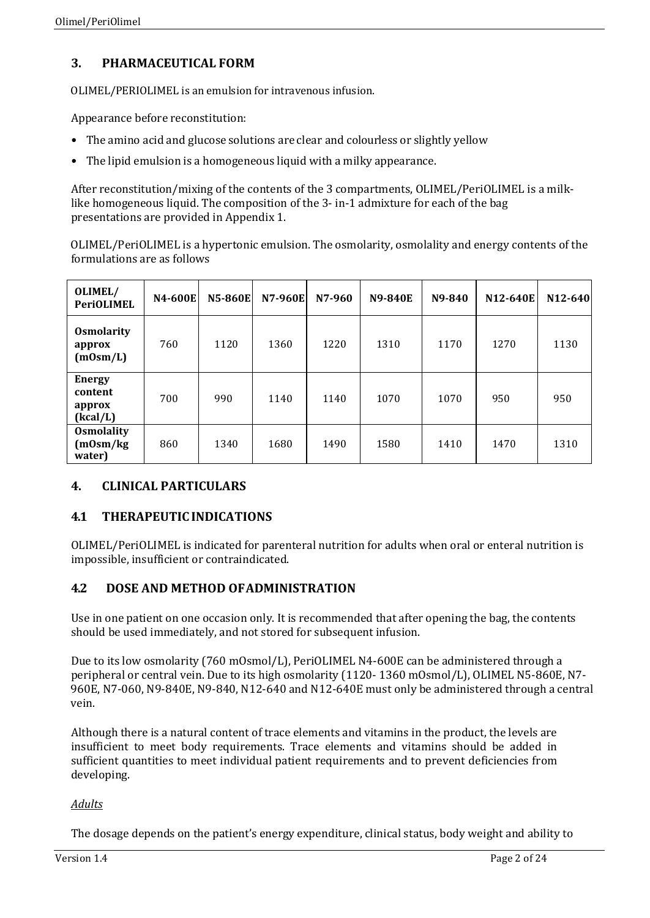# **3. PHARMACEUTICAL FORM**

OLIMEL/PERIOLIMEL is an emulsion for intravenous infusion.

Appearance before reconstitution:

- The amino acid and glucose solutions are clear and colourless or slightly yellow
- The lipid emulsion is a homogeneous liquid with a milky appearance.

After reconstitution/mixing of the contents of the 3 compartments, OLIMEL/PeriOLIMEL is a milklike homogeneous liquid. The composition of the 3- in-1 admixture for each of the bag presentations are provided in Appendix 1.

OLIMEL/PeriOLIMEL is a hypertonic emulsion. The osmolarity, osmolality and energy contents of the formulations are as follows

| OLIMEL/<br><b>PeriOLIMEL</b>                   | <b>N4-600E</b> | <b>N5-860E</b> | <b>N7-960E</b> | N7-960 | <b>N9-840E</b> | N9-840 | N12-640E | $N12 - 640$ |
|------------------------------------------------|----------------|----------------|----------------|--------|----------------|--------|----------|-------------|
| <b>Osmolarity</b><br>approx<br>(mOsm/L)        | 760            | 1120           | 1360           | 1220   | 1310           | 1170   | 1270     | 1130        |
| <b>Energy</b><br>content<br>approx<br>(kcal/L) | 700            | 990            | 1140           | 1140   | 1070           | 1070   | 950      | 950         |
| <b>Osmolality</b><br>(m0sm/kg)<br>water)       | 860            | 1340           | 1680           | 1490   | 1580           | 1410   | 1470     | 1310        |

# **4. CLINICAL PARTICULARS**

## **4.1 THERAPEUTICINDICATIONS**

OLIMEL/PeriOLIMEL is indicated for parenteral nutrition for adults when oral or enteral nutrition is impossible, insufficient or contraindicated.

## **4.2 DOSE AND METHOD OFADMINISTRATION**

Use in one patient on one occasion only. It is recommended that after opening the bag, the contents should be used immediately, and not stored for subsequent infusion.

Due to its low osmolarity (760 mOsmol/L), PeriOLIMEL N4-600E can be administered through a peripheral or central vein. Due to its high osmolarity (1120- 1360 mOsmol/L), OLIMEL N5-860E, N7- 960E, N7-060, N9-840E, N9-840, N12-640 and N12-640E must only be administered through a central vein.

Although there is a natural content of trace elements and vitamins in the product, the levels are insufficient to meet body requirements. Trace elements and vitamins should be added in sufficient quantities to meet individual patient requirements and to prevent deficiencies from developing.

## *Adults*

The dosage depends on the patient's energy expenditure, clinical status, body weight and ability to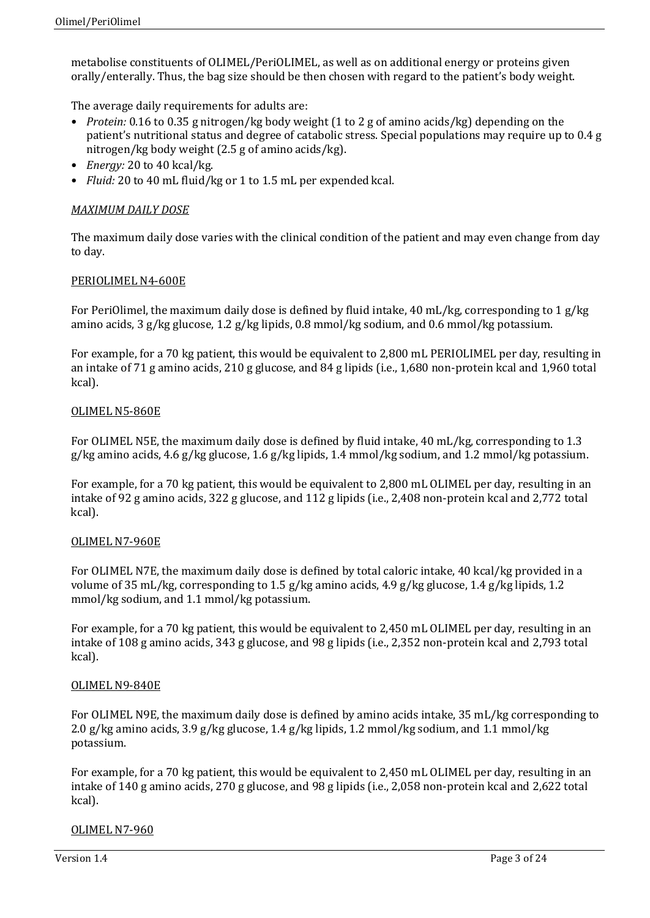metabolise constituents of OLIMEL/PeriOLIMEL, as well as on additional energy or proteins given orally/enterally. Thus, the bag size should be then chosen with regard to the patient's body weight.

The average daily requirements for adults are:

- *Protein:* 0.16 to 0.35 g nitrogen/kg body weight (1 to 2 g of amino acids/kg) depending on the patient's nutritional status and degree of catabolic stress. Special populations may require up to 0.4 g nitrogen/kg body weight (2.5 g of amino acids/kg).
- *Energy:* 20 to 40 kcal/kg.
- *Fluid:* 20 to 40 mL fluid/kg or 1 to 1.5 mL per expended kcal.

## *MAXIMUM DAILY DOSE*

The maximum daily dose varies with the clinical condition of the patient and may even change from day to day.

### PERIOLIMEL N4-600E

For PeriOlimel, the maximum daily dose is defined by fluid intake, 40 mL/kg, corresponding to 1 g/kg amino acids, 3 g/kg glucose, 1.2 g/kg lipids, 0.8 mmol/kg sodium, and 0.6 mmol/kg potassium.

For example, for a 70 kg patient, this would be equivalent to 2,800 mL PERIOLIMEL per day, resulting in an intake of 71 g amino acids, 210 g glucose, and 84 g lipids (i.e., 1,680 non-protein kcal and 1,960 total kcal).

## OLIMEL N5-860E

For OLIMEL N5E, the maximum daily dose is defined by fluid intake, 40 mL/kg, corresponding to 1.3  $g/kg$  amino acids, 4.6 g/kg glucose, 1.6 g/kg lipids, 1.4 mmol/kg sodium, and 1.2 mmol/kg potassium.

For example, for a 70 kg patient, this would be equivalent to 2,800 mL OLIMEL per day, resulting in an intake of 92 g amino acids, 322 g glucose, and 112 g lipids (i.e., 2,408 non-protein kcal and 2,772 total kcal).

### OLIMEL N7-960E

For OLIMEL N7E, the maximum daily dose is defined by total caloric intake, 40 kcal/kg provided in a volume of 35 mL/kg, corresponding to 1.5 g/kg amino acids, 4.9 g/kg glucose, 1.4 g/kg lipids, 1.2 mmol/kg sodium, and 1.1 mmol/kg potassium.

For example, for a 70 kg patient, this would be equivalent to 2,450 mL OLIMEL per day, resulting in an intake of 108 g amino acids, 343 g glucose, and 98 g lipids (i.e., 2,352 non-protein kcal and 2,793 total kcal).

### OLIMEL N9-840E

For OLIMEL N9E, the maximum daily dose is defined by amino acids intake, 35 mL/kg corresponding to 2.0 g/kg amino acids, 3.9 g/kg glucose, 1.4 g/kg lipids, 1.2 mmol/kg sodium, and 1.1 mmol/kg potassium.

For example, for a 70 kg patient, this would be equivalent to 2,450 mL OLIMEL per day, resulting in an intake of 140 g amino acids, 270 g glucose, and 98 g lipids (i.e., 2,058 non-protein kcal and 2,622 total kcal).

### OLIMEL N7-960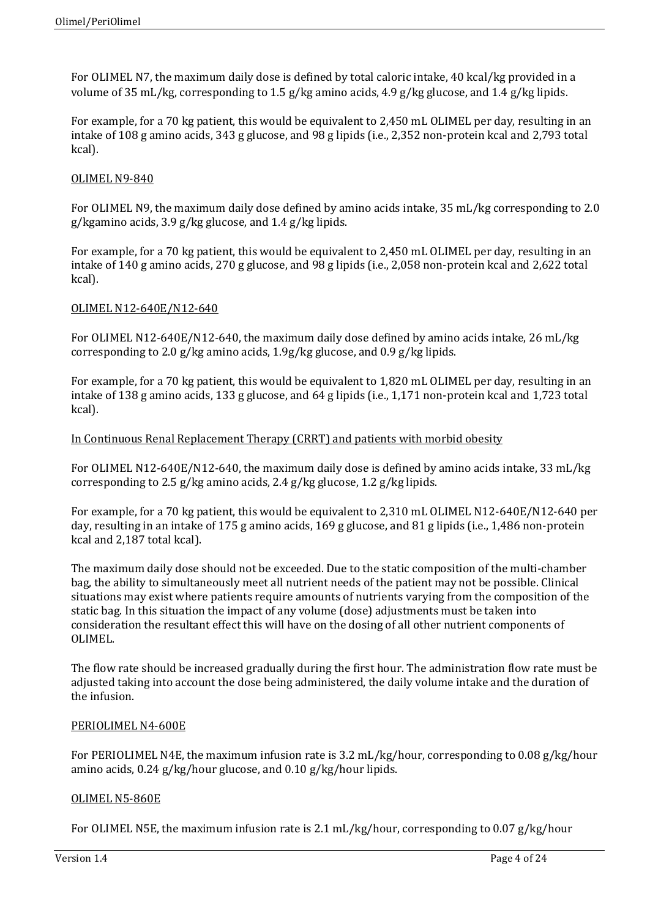For OLIMEL N7, the maximum daily dose is defined by total caloric intake, 40 kcal/kg provided in a volume of 35 mL/kg, corresponding to 1.5 g/kg amino acids, 4.9 g/kg glucose, and 1.4 g/kg lipids.

For example, for a 70 kg patient, this would be equivalent to 2,450 mL OLIMEL per day, resulting in an intake of 108 g amino acids, 343 g glucose, and 98 g lipids (i.e., 2,352 non-protein kcal and 2,793 total kcal).

## OLIMEL N9-840

For OLIMEL N9, the maximum daily dose defined by amino acids intake, 35 mL/kg corresponding to 2.0 g/kgamino acids, 3.9 g/kg glucose, and 1.4 g/kg lipids.

For example, for a 70 kg patient, this would be equivalent to 2,450 mL OLIMEL per day, resulting in an intake of 140 g amino acids, 270 g glucose, and 98 g lipids (i.e., 2,058 non-protein kcal and 2,622 total kcal).

### OLIMEL N12-640E/N12-640

For OLIMEL N12-640E/N12-640, the maximum daily dose defined by amino acids intake, 26 mL/kg corresponding to 2.0 g/kg amino acids, 1.9g/kg glucose, and 0.9 g/kg lipids.

For example, for a 70 kg patient, this would be equivalent to 1,820 mL OLIMEL per day, resulting in an intake of 138 g amino acids, 133 g glucose, and 64 g lipids (i.e., 1,171 non-protein kcal and 1,723 total kcal).

## In Continuous Renal Replacement Therapy (CRRT) and patients with morbid obesity

For OLIMEL N12-640E/N12-640, the maximum daily dose is defined by amino acids intake, 33 mL/kg corresponding to 2.5 g/kg amino acids, 2.4 g/kg glucose, 1.2 g/kg lipids.

For example, for a 70 kg patient, this would be equivalent to 2,310 mL OLIMEL N12-640E/N12-640 per day, resulting in an intake of 175 g amino acids, 169 g glucose, and 81 g lipids (i.e., 1,486 non-protein kcal and 2,187 total kcal).

The maximum daily dose should not be exceeded. Due to the static composition of the multi-chamber bag, the ability to simultaneously meet all nutrient needs of the patient may not be possible. Clinical situations may exist where patients require amounts of nutrients varying from the composition of the static bag. In this situation the impact of any volume (dose) adjustments must be taken into consideration the resultant effect this will have on the dosing of all other nutrient components of OLIMEL.

The flow rate should be increased gradually during the first hour. The administration flow rate must be adjusted taking into account the dose being administered, the daily volume intake and the duration of the infusion.

### PERIOLIMEL N4-600E

For PERIOLIMEL N4E, the maximum infusion rate is 3.2 mL/kg/hour, corresponding to 0.08 g/kg/hour amino acids, 0.24 g/kg/hour glucose, and 0.10 g/kg/hour lipids.

### OLIMEL N5-860E

For OLIMEL N5E, the maximum infusion rate is 2.1 mL/kg/hour, corresponding to 0.07 g/kg/hour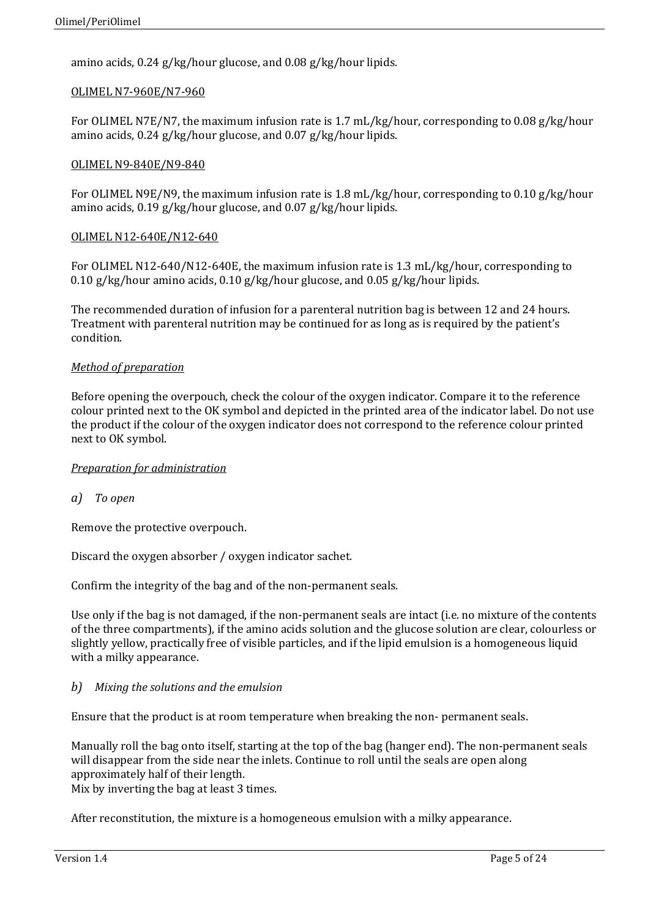amino acids, 0.24 g/kg/hour glucose, and 0.08 g/kg/hour lipids.

## OLIMEL N7-960E/N7-960

For OLIMEL N7E/N7, the maximum infusion rate is 1.7 mL/kg/hour, corresponding to 0.08 g/kg/hour amino acids, 0.24 g/kg/hour glucose, and 0.07 g/kg/hour lipids.

#### OLIMEL N9-840E/N9-840

For OLIMEL N9E/N9, the maximum infusion rate is 1.8 mL/kg/hour, corresponding to 0.10 g/kg/hour amino acids, 0.19 g/kg/hour glucose, and 0.07 g/kg/hour lipids.

### OLIMEL N12-640E/N12-640

For OLIMEL N12-640/N12-640E, the maximum infusion rate is 1.3 mL/kg/hour, corresponding to 0.10 g/kg/hour amino acids, 0.10 g/kg/hour glucose, and 0.05 g/kg/hour lipids.

The recommended duration of infusion for a parenteral nutrition bag is between 12 and 24 hours. Treatment with parenteral nutrition may be continued for as long as is required by the patient's condition.

### *Method of preparation*

Before opening the overpouch, check the colour of the oxygen indicator. Compare it to the reference colour printed next to the OK symbol and depicted in the printed area of the indicator label. Do not use the product if the colour of the oxygen indicator does not correspond to the reference colour printed next to OK symbol.

### *Preparation for administration*

*a) To open*

Remove the protective overpouch.

Discard the oxygen absorber / oxygen indicator sachet.

Confirm the integrity of the bag and of the non-permanent seals.

Use only if the bag is not damaged, if the non-permanent seals are intact (i.e. no mixture of the contents of the three compartments), if the amino acids solution and the glucose solution are clear, colourless or slightly yellow, practically free of visible particles, and if the lipid emulsion is a homogeneous liquid with a milky appearance.

## *b) Mixing the solutions and the emulsion*

Ensure that the product is at room temperature when breaking the non- permanent seals.

Manually roll the bag onto itself, starting at the top of the bag (hanger end). The non-permanent seals will disappear from the side near the inlets. Continue to roll until the seals are open along approximately half of their length.

Mix by inverting the bag at least 3 times.

After reconstitution, the mixture is a homogeneous emulsion with a milky appearance.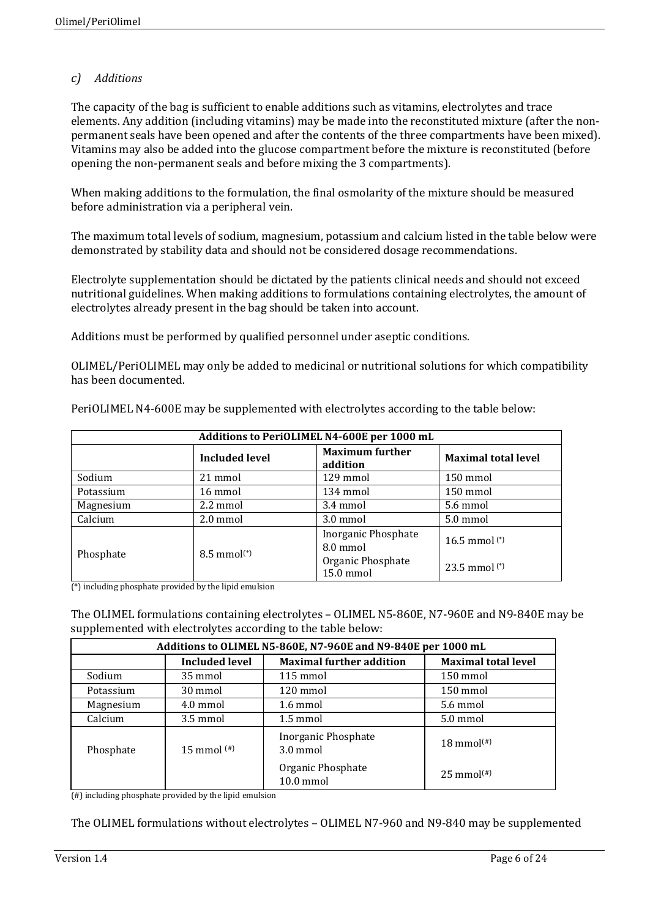## *c) Additions*

The capacity of the bag is sufficient to enable additions such as vitamins, electrolytes and trace elements. Any addition (including vitamins) may be made into the reconstituted mixture (after the nonpermanent seals have been opened and after the contents of the three compartments have been mixed). Vitamins may also be added into the glucose compartment before the mixture is reconstituted (before opening the non-permanent seals and before mixing the 3 compartments).

When making additions to the formulation, the final osmolarity of the mixture should be measured before administration via a peripheral vein.

The maximum total levels of sodium, magnesium, potassium and calcium listed in the table below were demonstrated by stability data and should not be considered dosage recommendations.

Electrolyte supplementation should be dictated by the patients clinical needs and should not exceed nutritional guidelines. When making additions to formulations containing electrolytes, the amount of electrolytes already present in the bag should be taken into account.

Additions must be performed by qualified personnel under aseptic conditions.

OLIMEL/PeriOLIMEL may only be added to medicinal or nutritional solutions for which compatibility has been documented.

| Additions to PeriOLIMEL N4-600E per 1000 mL |                                   |                                        |                            |  |
|---------------------------------------------|-----------------------------------|----------------------------------------|----------------------------|--|
|                                             | <b>Included level</b>             | <b>Maximum further</b><br>addition     | <b>Maximal total level</b> |  |
| Sodium                                      | 21 mmol                           | 129 mmol                               | 150 mmol                   |  |
| Potassium                                   | 16 mmol                           | 134 mmol                               | 150 mmol                   |  |
| Magnesium                                   | 2.2 mmol                          | 3.4 mmol                               | 5.6 mmol                   |  |
| Calcium                                     | 2.0 mmol                          | 3.0 mmol                               | 5.0 mmol                   |  |
| Phosphate                                   | $8.5 \text{ mmol}$ <sup>(*)</sup> | <b>Inorganic Phosphate</b><br>8.0 mmol | 16.5 mmol $(*)$            |  |
|                                             |                                   | Organic Phosphate<br>15.0 mmol         | 23.5 mmol $(*)$            |  |

PeriOLIMEL N4-600E may be supplemented with electrolytes according to the table below:

(\*) including phosphate provided by the lipid emulsion

The OLIMEL formulations containing electrolytes – OLIMEL N5-860E, N7-960E and N9-840E may be supplemented with electrolytes according to the table below:

| Additions to OLIMEL N5-860E, N7-960E and N9-840E per 1000 mL |                       |                                           |                                  |
|--------------------------------------------------------------|-----------------------|-------------------------------------------|----------------------------------|
|                                                              | <b>Included level</b> | <b>Maximal further addition</b>           | <b>Maximal total level</b>       |
| Sodium                                                       | 35 mmol               | $115 \text{ mmol}$                        | 150 mmol                         |
| Potassium                                                    | 30 mmol               | $120 \text{ mmol}$                        | 150 mmol                         |
| Magnesium                                                    | $4.0 \text{ mmol}$    | $1.6 \text{ mmol}$                        | 5.6 mmol                         |
| Calcium                                                      | 3.5 mmol              | $1.5 \text{ mmol}$                        | 5.0 mmol                         |
| Phosphate                                                    | 15 mmol $^{(#)}$      | Inorganic Phosphate<br>$3.0 \text{ mmol}$ | $18 \text{ mmol}$ <sup>(#)</sup> |
|                                                              |                       | Organic Phosphate<br>$10.0$ mmol          | $25 \text{ mmol}$ <sup>(#)</sup> |

(#) including phosphate provided by the lipid emulsion

The OLIMEL formulations without electrolytes – OLIMEL N7-960 and N9-840 may be supplemented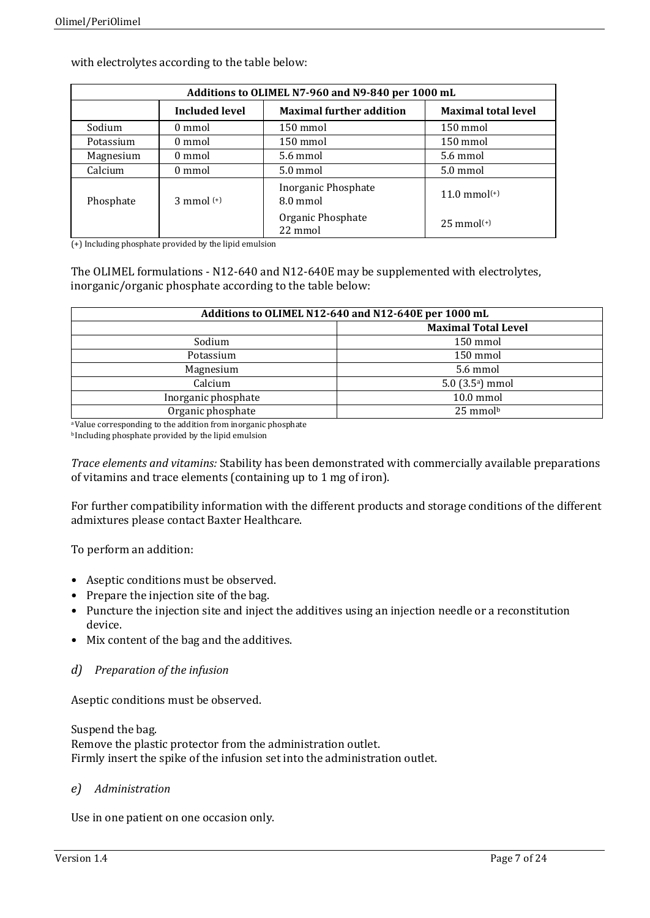| Additions to OLIMEL N7-960 and N9-840 per 1000 mL |                                 |                                 |                            |
|---------------------------------------------------|---------------------------------|---------------------------------|----------------------------|
|                                                   | <b>Included level</b>           | <b>Maximal further addition</b> | <b>Maximal total level</b> |
| Sodium                                            | 0 mmol                          | 150 mmol                        | 150 mmol                   |
| Potassium                                         | 0 mmol                          | 150 mmol                        | 150 mmol                   |
| Magnesium                                         | 0 mmol                          | 5.6 mmol                        | 5.6 mmol                   |
| Calcium                                           | 0 mmol                          | 5.0 mmol                        | 5.0 mmol                   |
| Phosphate                                         | $3 \text{ mmol}$ <sup>(+)</sup> | Inorganic Phosphate<br>8.0 mmol | $11.0 \text{ mmol}^{(+)}$  |
|                                                   |                                 | Organic Phosphate<br>22 mmol    | $25 \text{ mmol}^{(+)}$    |

with electrolytes according to the table below:

(+) Including phosphate provided by the lipid emulsion

The OLIMEL formulations - N12-640 and N12-640E may be supplemented with electrolytes, inorganic/organic phosphate according to the table below:

| Additions to OLIMEL N12-640 and N12-640E per 1000 mL |                                |  |
|------------------------------------------------------|--------------------------------|--|
|                                                      | <b>Maximal Total Level</b>     |  |
| Sodium                                               | 150 mmol                       |  |
| Potassium                                            | 150 mmol                       |  |
| Magnesium                                            | 5.6 mmol                       |  |
| Calcium                                              | $5.0$ (3.5 <sup>a</sup> ) mmol |  |
| Inorganic phosphate                                  | 10.0 mmol                      |  |
| Organic phosphate                                    | $25 \text{ mmol}^{\text{b}}$   |  |

a Value corresponding to the addition from inorganic phosphate

b Including phosphate provided by the lipid emulsion

*Trace elements and vitamins:* Stability has been demonstrated with commercially available preparations of vitamins and trace elements (containing up to 1 mg of iron).

For further compatibility information with the different products and storage conditions of the different admixtures please contact Baxter Healthcare.

To perform an addition:

- Aseptic conditions must be observed.
- Prepare the injection site of the bag.
- Puncture the injection site and inject the additives using an injection needle or a reconstitution device.
- Mix content of the bag and the additives.
- *d) Preparation of the infusion*

Aseptic conditions must be observed.

Suspend the bag. Remove the plastic protector from the administration outlet. Firmly insert the spike of the infusion set into the administration outlet.

## *e) Administration*

Use in one patient on one occasion only.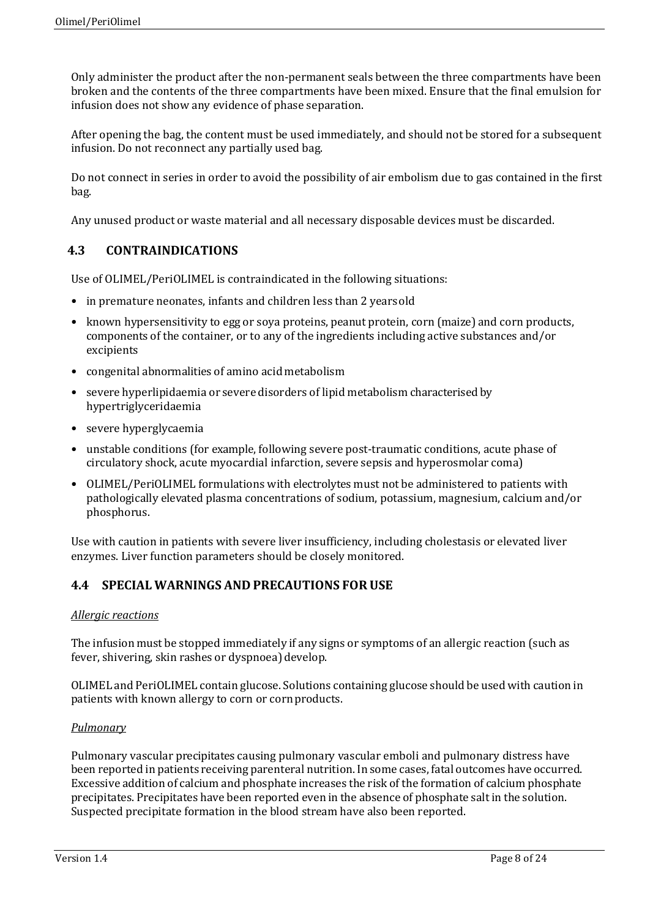Only administer the product after the non-permanent seals between the three compartments have been broken and the contents of the three compartments have been mixed. Ensure that the final emulsion for infusion does not show any evidence of phase separation.

After opening the bag, the content must be used immediately, and should not be stored for a subsequent infusion. Do not reconnect any partially used bag.

Do not connect in series in order to avoid the possibility of air embolism due to gas contained in the first bag.

Any unused product or waste material and all necessary disposable devices must be discarded.

## **4.3 CONTRAINDICATIONS**

Use of OLIMEL/PeriOLIMEL is contraindicated in the following situations:

- in premature neonates, infants and children less than 2 years old
- known hypersensitivity to egg or soya proteins, peanut protein, corn (maize) and corn products, components of the container, or to any of the ingredients including active substances and/or excipients
- congenital abnormalities of amino acid metabolism
- severe hyperlipidaemia or severe disorders of lipid metabolism characterised by hypertriglyceridaemia
- severe hyperglycaemia
- unstable conditions (for example, following severe post-traumatic conditions, acute phase of circulatory shock, acute myocardial infarction, severe sepsis and hyperosmolar coma)
- OLIMEL/PeriOLIMEL formulations with electrolytes must not be administered to patients with pathologically elevated plasma concentrations of sodium, potassium, magnesium, calcium and/or phosphorus.

Use with caution in patients with severe liver insufficiency, including cholestasis or elevated liver enzymes. Liver function parameters should be closely monitored.

## **4.4 SPECIAL WARNINGS AND PRECAUTIONS FOR USE**

### *Allergic reactions*

The infusion must be stopped immediately if any signs or symptoms of an allergic reaction (such as fever, shivering, skin rashes or dyspnoea) develop.

OLIMEL and PeriOLIMEL contain glucose. Solutions containing glucose should be used with caution in patients with known allergy to corn or cornproducts.

### *Pulmonary*

Pulmonary vascular precipitates causing pulmonary vascular emboli and pulmonary distress have been reported in patients receiving parenteral nutrition. In some cases, fatal outcomes have occurred. Excessive addition of calcium and phosphate increases the risk of the formation of calcium phosphate precipitates. Precipitates have been reported even in the absence of phosphate salt in the solution. Suspected precipitate formation in the blood stream have also been reported.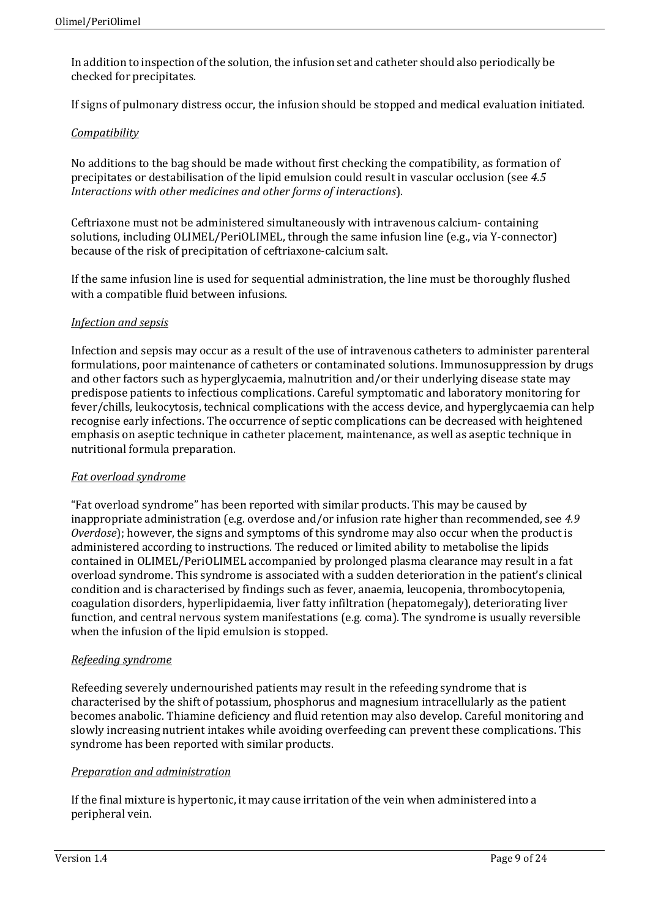In addition to inspection of the solution, the infusion set and catheter should also periodically be checked for precipitates.

If signs of pulmonary distress occur, the infusion should be stopped and medical evaluation initiated.

## *Compatibility*

No additions to the bag should be made without first checking the compatibility, as formation of precipitates or destabilisation of the lipid emulsion could result in vascular occlusion (see *4.5 Interactions with other medicines and other forms of interactions*).

Ceftriaxone must not be administered simultaneously with intravenous calcium- containing solutions, including OLIMEL/PeriOLIMEL, through the same infusion line (e.g., via Y-connector) because of the risk of precipitation of ceftriaxone-calcium salt.

If the same infusion line is used for sequential administration, the line must be thoroughly flushed with a compatible fluid between infusions.

### *Infection and sepsis*

Infection and sepsis may occur as a result of the use of intravenous catheters to administer parenteral formulations, poor maintenance of catheters or contaminated solutions. Immunosuppression by drugs and other factors such as hyperglycaemia, malnutrition and/or their underlying disease state may predispose patients to infectious complications. Careful symptomatic and laboratory monitoring for fever/chills, leukocytosis, technical complications with the access device, and hyperglycaemia can help recognise early infections. The occurrence of septic complications can be decreased with heightened emphasis on aseptic technique in catheter placement, maintenance, as well as aseptic technique in nutritional formula preparation.

### *Fat overload syndrome*

"Fat overload syndrome" has been reported with similar products. This may be caused by inappropriate administration (e.g. overdose and/or infusion rate higher than recommended, see *4.9 Overdose*); however, the signs and symptoms of this syndrome may also occur when the product is administered according to instructions. The reduced or limited ability to metabolise the lipids contained in OLIMEL/PeriOLIMEL accompanied by prolonged plasma clearance may result in a fat overload syndrome. This syndrome is associated with a sudden deterioration in the patient's clinical condition and is characterised by findings such as fever, anaemia, leucopenia, thrombocytopenia, coagulation disorders, hyperlipidaemia, liver fatty infiltration (hepatomegaly), deteriorating liver function, and central nervous system manifestations (e.g. coma). The syndrome is usually reversible when the infusion of the lipid emulsion is stopped.

### *Refeeding syndrome*

Refeeding severely undernourished patients may result in the refeeding syndrome that is characterised by the shift of potassium, phosphorus and magnesium intracellularly as the patient becomes anabolic. Thiamine deficiency and fluid retention may also develop. Careful monitoring and slowly increasing nutrient intakes while avoiding overfeeding can prevent these complications. This syndrome has been reported with similar products.

## *Preparation and administration*

If the final mixture is hypertonic, it may cause irritation of the vein when administered into a peripheral vein.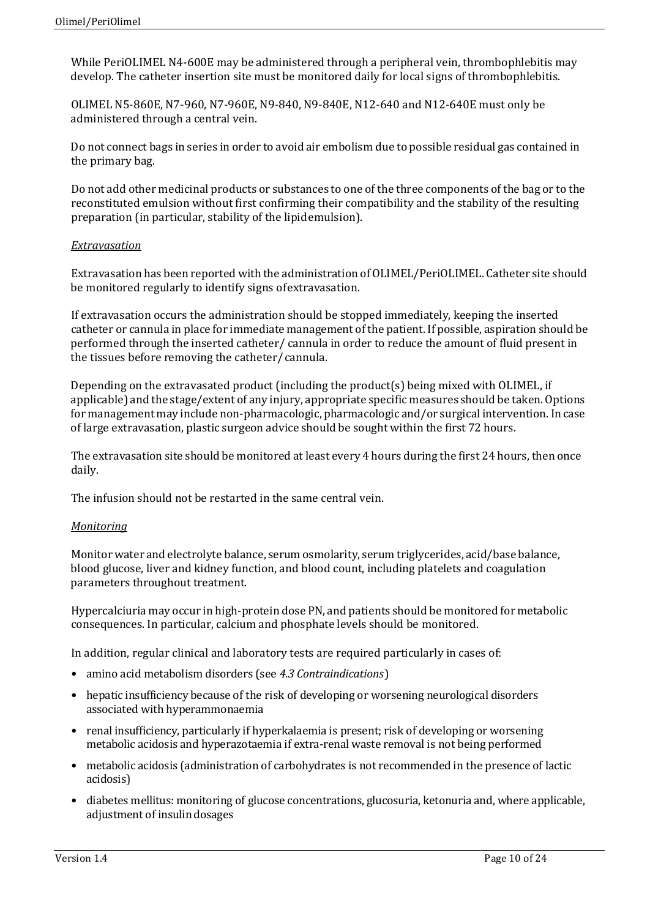While PeriOLIMEL N4-600E may be administered through a peripheral vein, thrombophlebitis may develop. The catheter insertion site must be monitored daily for local signs of thrombophlebitis.

OLIMEL N5-860E, N7-960, N7-960E, N9-840, N9-840E, N12-640 and N12-640E must only be administered through a central vein.

Do not connect bags in series in order to avoid air embolism due to possible residual gas contained in the primary bag.

Do not add other medicinal products or substances to one of the three components of the bag or to the reconstituted emulsion without first confirming their compatibility and the stability of the resulting preparation (in particular, stability of the lipidemulsion).

### *Extravasation*

Extravasation has been reported with the administration of OLIMEL/PeriOLIMEL. Catheter site should be monitored regularly to identify signs ofextravasation.

If extravasation occurs the administration should be stopped immediately, keeping the inserted catheter or cannula in place for immediate management of the patient. If possible, aspiration should be performed through the inserted catheter/ cannula in order to reduce the amount of fluid present in the tissues before removing the catheter/ cannula.

Depending on the extravasated product (including the product(s) being mixed with OLIMEL, if applicable) and the stage/extent of any injury, appropriate specific measures should be taken. Options for management may include non-pharmacologic, pharmacologic and/or surgical intervention. Incase of large extravasation, plastic surgeon advice should be sought within the first 72 hours.

The extravasation site should be monitored at least every 4 hours during the first 24 hours, then once daily.

The infusion should not be restarted in the same central vein.

### *Monitoring*

Monitorwater and electrolyte balance, serum osmolarity, serum triglycerides, acid/base balance, blood glucose, liver and kidney function, and blood count, including platelets and coagulation parameters throughout treatment.

Hypercalciuria may occur in high-protein dose PN, and patients should be monitored for metabolic consequences. In particular, calcium and phosphate levels should be monitored.

In addition, regular clinical and laboratory tests are required particularly in cases of:

- amino acid metabolism disorders (see *4.3 Contraindications*)
- hepatic insufficiency because of the risk of developing or worsening neurological disorders associated with hyperammonaemia
- renal insufficiency, particularly if hyperkalaemia is present; risk of developing or worsening metabolic acidosis and hyperazotaemia if extra-renal waste removal is not being performed
- metabolic acidosis (administration of carbohydrates is not recommended in the presence of lactic acidosis)
- diabetes mellitus: monitoring of glucose concentrations, glucosuria, ketonuria and, where applicable, adjustment of insulin dosages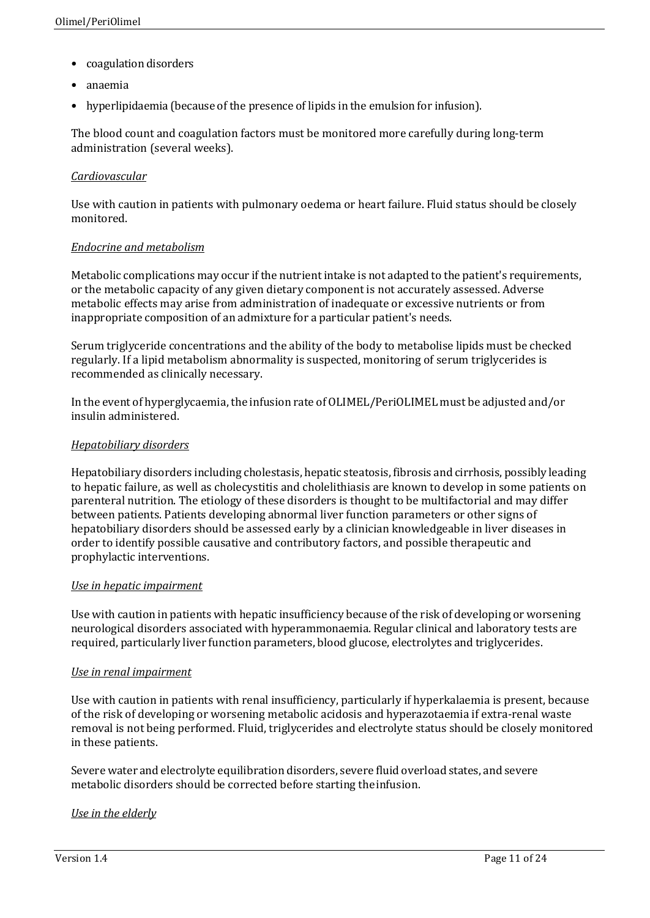- coagulation disorders
- anaemia
- hyperlipidaemia (because of the presence of lipids in the emulsion for infusion).

The blood count and coagulation factors must be monitored more carefully during long-term administration (several weeks).

## *Cardiovascular*

Use with caution in patients with pulmonary oedema or heart failure. Fluid status should be closely monitored.

### *Endocrine and metabolism*

Metabolic complications may occur if the nutrient intake is not adapted to the patient's requirements, or the metabolic capacity of any given dietary component is not accurately assessed. Adverse metabolic effects may arise from administration of inadequate or excessive nutrients or from inappropriate composition of an admixture for a particular patient's needs.

Serum triglyceride concentrations and the ability of the body to metabolise lipids must be checked regularly. If a lipid metabolism abnormality is suspected, monitoring of serum triglycerides is recommended as clinically necessary.

In the event of hyperglycaemia, the infusion rate of OLIMEL/PeriOLIMEL must be adjusted and/or insulin administered.

## *Hepatobiliary disorders*

Hepatobiliary disorders including cholestasis, hepatic steatosis, fibrosis and cirrhosis, possibly leading to hepatic failure, as well as cholecystitis and cholelithiasis are known to develop in some patients on parenteral nutrition. The etiology of these disorders is thought to be multifactorial and may differ between patients. Patients developing abnormal liver function parameters or other signs of hepatobiliary disorders should be assessed early by a clinician knowledgeable in liver diseases in order to identify possible causative and contributory factors, and possible therapeutic and prophylactic interventions.

### *Use in hepatic impairment*

Use with caution in patients with hepatic insufficiency because of the risk of developing or worsening neurological disorders associated with hyperammonaemia. Regular clinical and laboratory tests are required, particularly liver function parameters, blood glucose, electrolytes and triglycerides.

### *Use in renal impairment*

Use with caution in patients with renal insufficiency, particularly if hyperkalaemia is present, because of the risk of developing or worsening metabolic acidosis and hyperazotaemia if extra-renal waste removal is not being performed. Fluid, triglycerides and electrolyte status should be closely monitored in these patients.

Severe water and electrolyte equilibration disorders, severe fluid overload states, and severe metabolic disorders should be corrected before starting theinfusion.

### *Use in the elderly*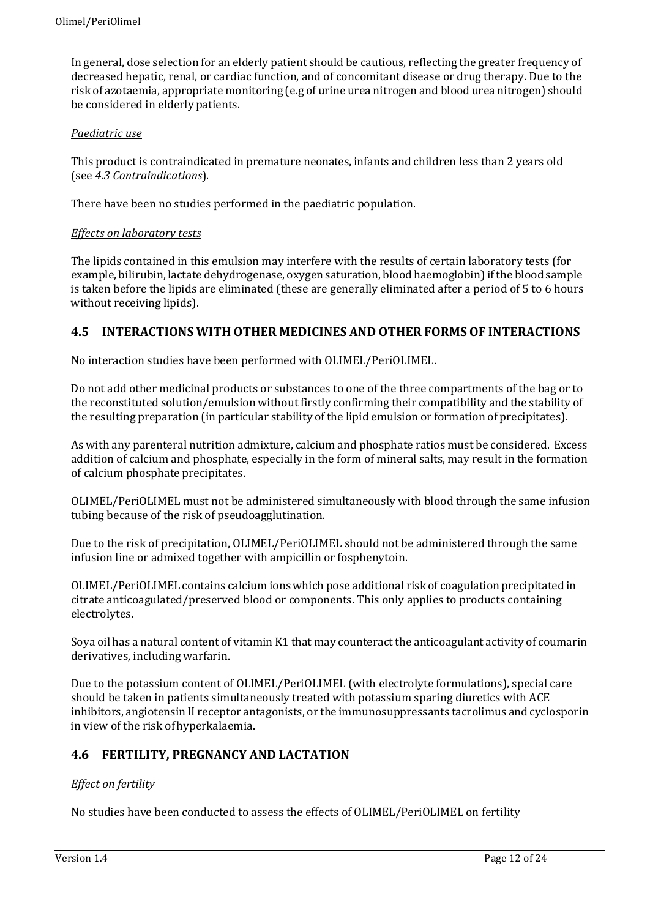In general, dose selection for an elderly patient should be cautious, reflecting the greater frequency of decreased hepatic, renal, or cardiac function, and of concomitant disease or drug therapy. Due to the risk of azotaemia, appropriate monitoring (e.g of urine urea nitrogen and blood urea nitrogen) should be considered in elderly patients.

## *Paediatric use*

This product is contraindicated in premature neonates, infants and children less than 2 years old (see *4.3 Contraindications*).

There have been no studies performed in the paediatric population.

## *Effects on laboratory tests*

The lipids contained in this emulsion may interfere with the results of certain laboratory tests (for example, bilirubin, lactate dehydrogenase, oxygen saturation, blood haemoglobin) if the blood sample is taken before the lipids are eliminated (these are generally eliminated after a period of 5 to 6 hours without receiving lipids).

## **4.5 INTERACTIONS WITH OTHER MEDICINES AND OTHER FORMS OF INTERACTIONS**

No interaction studies have been performed with OLIMEL/PeriOLIMEL.

Do not add other medicinal products or substances to one of the three compartments of the bag or to the reconstituted solution/emulsion without firstly confirming their compatibility and the stability of the resulting preparation (in particular stability of the lipid emulsion or formation of precipitates).

As with any parenteral nutrition admixture, calcium and phosphate ratios must be considered. Excess addition of calcium and phosphate, especially in the form of mineral salts, may result in the formation of calcium phosphate precipitates.

OLIMEL/PeriOLIMEL must not be administered simultaneously with blood through the same infusion tubing because of the risk of pseudoagglutination.

Due to the risk of precipitation, OLIMEL/PeriOLIMEL should not be administered through the same infusion line or admixed together with ampicillin or fosphenytoin.

OLIMEL/PeriOLIMEL contains calcium ions which pose additional risk of coagulation precipitated in citrate anticoagulated/preserved blood or components. This only applies to products containing electrolytes.

Soya oil has a natural content of vitamin K1 that may counteract the anticoagulant activity of coumarin derivatives, including warfarin.

Due to the potassium content of OLIMEL/PeriOLIMEL (with electrolyte formulations), special care should be taken in patients simultaneously treated with potassium sparing diuretics with ACE inhibitors, angiotensin II receptor antagonists, or the immunosuppressants tacrolimus and cyclosporin in view of the risk ofhyperkalaemia.

## **4.6 FERTILITY, PREGNANCY AND LACTATION**

## *Effect on fertility*

No studies have been conducted to assess the effects of OLIMEL/PeriOLIMEL on fertility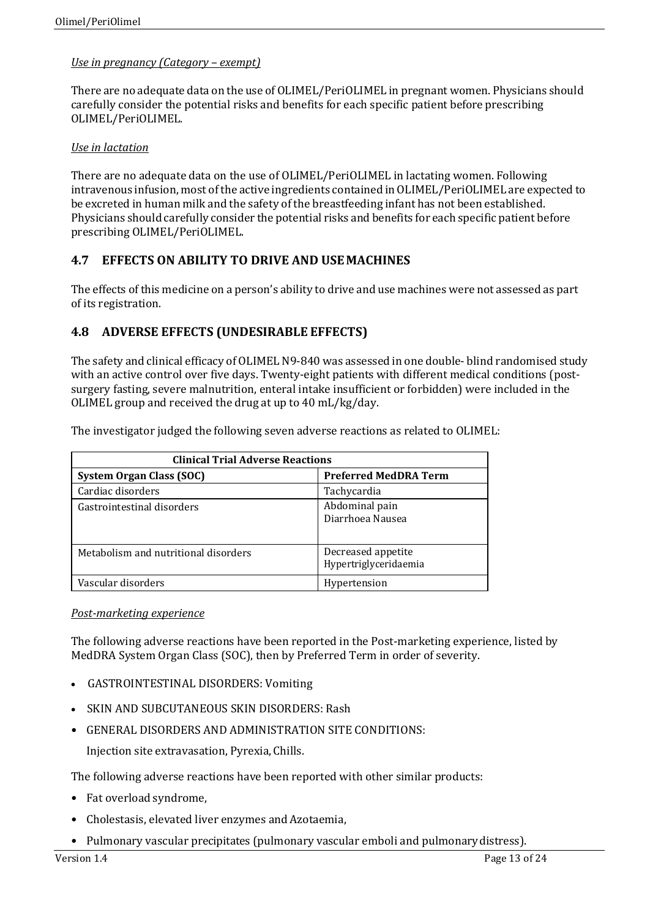## *Use in pregnancy (Category – exempt)*

There are no adequate data on the use of OLIMEL/PeriOLIMEL in pregnant women. Physicians should carefully consider the potential risks and benefits for each specific patient before prescribing OLIMEL/PeriOLIMEL.

## *Use in lactation*

There are no adequate data on the use of OLIMEL/PeriOLIMEL in lactating women. Following intravenous infusion, most of the active ingredients contained inOLIMEL/PeriOLIMEL are expected to be excreted in human milk and the safety of the breastfeeding infant has not been established. Physicians should carefully consider the potential risks and benefits for each specific patient before prescribing OLIMEL/PeriOLIMEL.

## **4.7 EFFECTS ON ABILITY TO DRIVE AND USEMACHINES**

The effects of this medicine on a person's ability to drive and use machines were not assessed as part of its registration.

## **4.8 ADVERSE EFFECTS (UNDESIRABLE EFFECTS)**

The safety and clinical efficacy of OLIMEL N9-840 was assessed in one double- blind randomised study with an active control over five days. Twenty-eight patients with different medical conditions (postsurgery fasting, severe malnutrition, enteral intake insufficient or forbidden) were included in the OLIMEL group and received the drug at up to 40 mL/kg/day.

| <b>Clinical Trial Adverse Reactions</b> |                                             |  |  |
|-----------------------------------------|---------------------------------------------|--|--|
| System Organ Class (SOC)                | <b>Preferred MedDRA Term</b>                |  |  |
| Cardiac disorders                       | Tachycardia                                 |  |  |
| Gastrointestinal disorders              | Abdominal pain<br>Diarrhoea Nausea          |  |  |
| Metabolism and nutritional disorders    | Decreased appetite<br>Hypertriglyceridaemia |  |  |
| Vascular disorders                      | Hypertension                                |  |  |

## *Post-marketing experience*

The following adverse reactions have been reported in the Post-marketing experience, listed by MedDRA System Organ Class (SOC), then by Preferred Term in order of severity.

- GASTROINTESTINAL DISORDERS: Vomiting
- SKIN AND SUBCUTANEOUS SKIN DISORDERS: Rash
- GENERAL DISORDERS AND ADMINISTRATION SITE CONDITIONS:

Injection site extravasation, Pyrexia, Chills.

The following adverse reactions have been reported with other similar products:

- Fat overload syndrome,
- Cholestasis, elevated liver enzymes and Azotaemia,
- Pulmonary vascular precipitates (pulmonary vascular emboli and pulmonarydistress).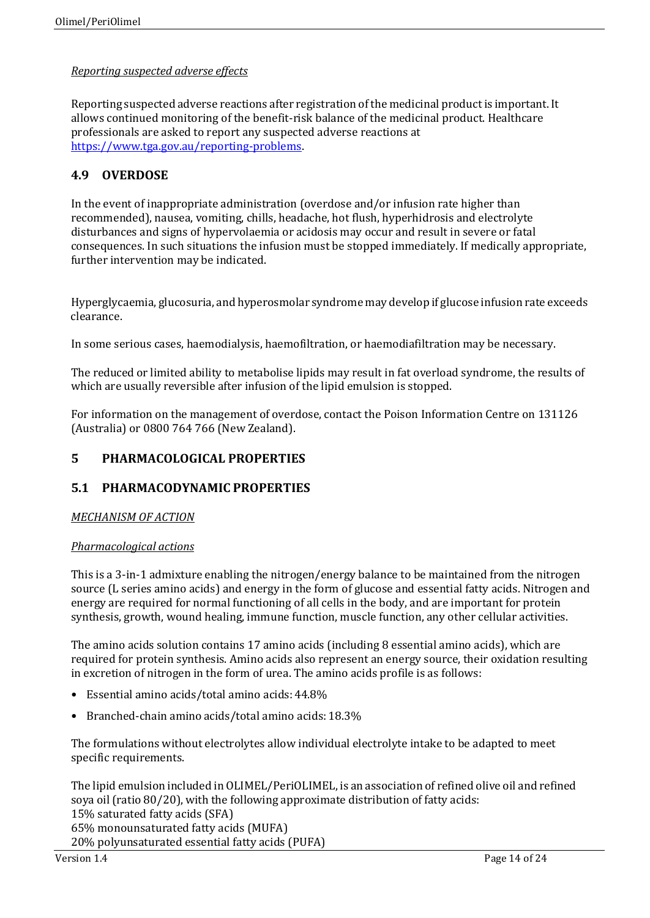## *Reporting suspected adverse effects*

Reporting suspected adverse reactions after registration of the medicinal productis important. It allows continued monitoring of the benefit-risk balance of the medicinal product. Healthcare professionals are asked to report any suspected adverse reactions at https://www.tga.gov.au/reporting-problems.

## **4.9 OVERDOSE**

In the event of inappropriate administration (overdose and/or infusion rate higher than recommended), nausea, vomiting, chills, headache, hot flush, hyperhidrosis and electrolyte disturbances and signs of hypervolaemia or acidosis may occur and result in severe or fatal consequences. In such situations the infusion must be stopped immediately. If medically appropriate, further intervention may be indicated.

Hyperglycaemia, glucosuria, and hyperosmolar syndrome may develop if glucose infusion rate exceeds clearance.

In some serious cases, haemodialysis, haemofiltration, or haemodiafiltration may be necessary.

The reduced or limited ability to metabolise lipids may result in fat overload syndrome, the results of which are usually reversible after infusion of the lipid emulsion is stopped.

For information on the management of overdose, contact the Poison Information Centre on 131126 (Australia) or 0800 764 766 (New Zealand).

## **5 PHARMACOLOGICAL PROPERTIES**

## **5.1 PHARMACODYNAMIC PROPERTIES**

### *MECHANISM OF ACTION*

### *Pharmacological actions*

This is a 3-in-1 admixture enabling the nitrogen/energy balance to be maintained from the nitrogen source (L series amino acids) and energy in the form of glucose and essential fatty acids. Nitrogen and energy are required for normal functioning of all cells in the body, and are important for protein synthesis, growth, wound healing, immune function, muscle function, any other cellular activities.

The amino acids solution contains 17 amino acids (including 8 essential amino acids), which are required for protein synthesis. Amino acids also represent an energy source, their oxidation resulting in excretion of nitrogen in the form of urea. The amino acids profile is as follows:

- Essential amino acids/total amino acids:44.8%
- Branched-chain amino acids/total amino acids: 18.3%

The formulations without electrolytes allow individual electrolyte intake to be adapted to meet specific requirements.

The lipid emulsion included in OLIMEL/PeriOLIMEL, is an association of refined olive oil and refined soya oil (ratio 80/20), with the following approximate distribution of fatty acids: 15% saturated fatty acids (SFA) 65% monounsaturated fatty acids (MUFA) 20% polyunsaturated essential fatty acids (PUFA)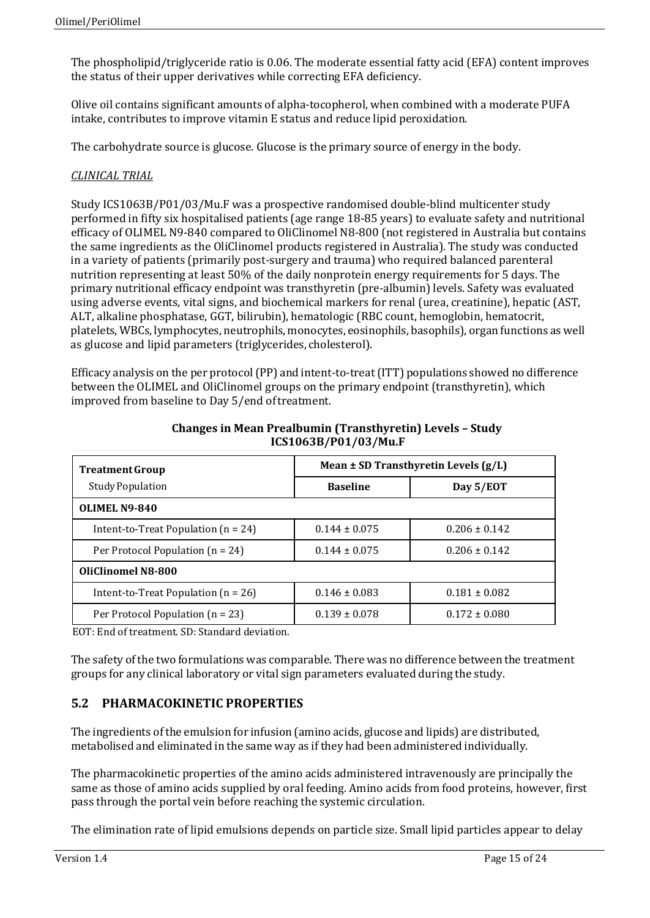The phospholipid/triglyceride ratio is 0.06. The moderate essential fatty acid (EFA) content improves the status of their upper derivatives while correcting EFA deficiency.

Olive oil contains significant amounts of alpha-tocopherol, when combined with a moderate PUFA intake, contributes to improve vitamin E status and reduce lipid peroxidation.

The carbohydrate source is glucose. Glucose is the primary source of energy in the body.

## *CLINICAL TRIAL*

Study ICS1063B/P01/03/Mu.F was a prospective randomised double-blind multicenter study performed in fifty six hospitalised patients (age range 18-85 years) to evaluate safety and nutritional efficacy of OLIMEL N9-840 compared to OliClinomel N8-800 (not registered in Australia but contains the same ingredients as the OliClinomel products registered in Australia). The study was conducted in a variety of patients (primarily post-surgery and trauma) who required balanced parenteral nutrition representing at least 50% of the daily nonprotein energy requirements for 5 days. The primary nutritional efficacy endpoint was transthyretin (pre-albumin) levels. Safety was evaluated using adverse events, vital signs, and biochemical markers for renal (urea, creatinine), hepatic (AST, ALT, alkaline phosphatase, GGT, bilirubin), hematologic (RBC count, hemoglobin, hematocrit, platelets, WBCs, lymphocytes, neutrophils, monocytes, eosinophils, basophils), organ functions as well as glucose and lipid parameters (triglycerides, cholesterol).

Efficacy analysis on the per protocol(PP) and intent-to-treat(ITT) populations showed no difference between the OLIMEL and OliClinomel groups on the primary endpoint (transthyretin), which improved from baseline to Day 5/end oftreatment.

| <b>Treatment Group</b>                  | Mean $\pm$ SD Transthyretin Levels (g/L) |                   |  |
|-----------------------------------------|------------------------------------------|-------------------|--|
| <b>Study Population</b>                 | <b>Baseline</b>                          | Day 5/EOT         |  |
| <b>OLIMEL N9-840</b>                    |                                          |                   |  |
| Intent-to-Treat Population ( $n = 24$ ) | $0.144 \pm 0.075$                        | $0.206 \pm 0.142$ |  |
| Per Protocol Population ( $n = 24$ )    | $0.144 \pm 0.075$                        | $0.206 \pm 0.142$ |  |
| <b>OliClinomel N8-800</b>               |                                          |                   |  |
| Intent-to-Treat Population ( $n = 26$ ) | $0.146 \pm 0.083$                        | $0.181 \pm 0.082$ |  |
| Per Protocol Population ( $n = 23$ )    | $0.139 \pm 0.078$                        | $0.172 \pm 0.080$ |  |

**Changes in Mean Prealbumin (Transthyretin) Levels – Study ICS1063B/P01/03/Mu.F**

EOT: End of treatment. SD: Standard deviation.

The safety of the two formulations was comparable. There was no difference between the treatment groups for any clinical laboratory or vital sign parameters evaluated during the study.

# **5.2 PHARMACOKINETIC PROPERTIES**

The ingredients of the emulsion for infusion (amino acids, glucose and lipids) are distributed, metabolised and eliminated in the same way as if they had been administered individually.

The pharmacokinetic properties of the amino acids administered intravenously are principally the same as those of amino acids supplied by oral feeding. Amino acids from food proteins, however, first pass through the portal vein before reaching the systemic circulation.

The elimination rate of lipid emulsions depends on particle size. Small lipid particles appear to delay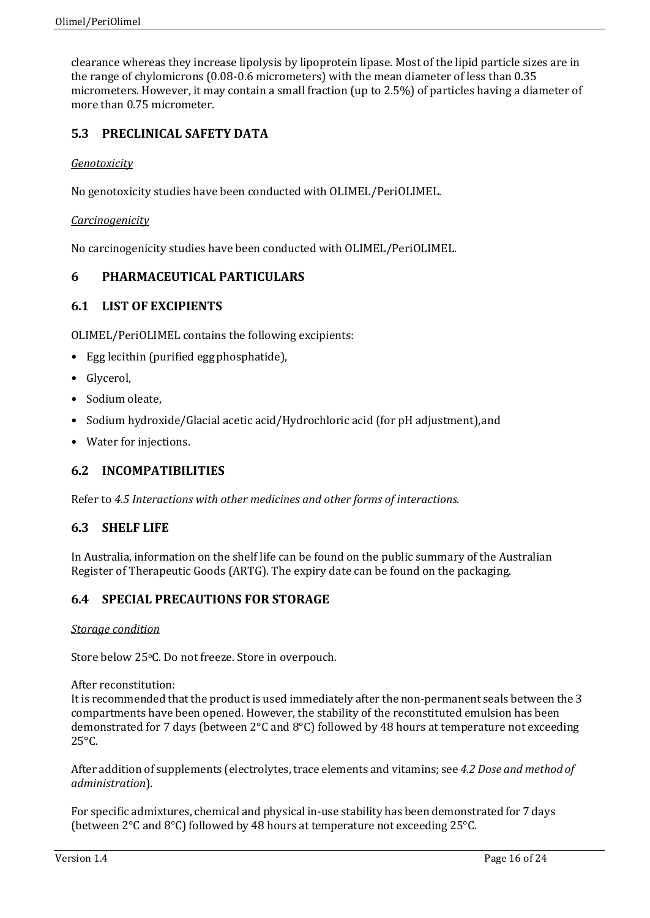clearance whereas they increase lipolysis by lipoprotein lipase. Most of the lipid particle sizes are in the range of chylomicrons (0.08-0.6 micrometers) with the mean diameter of less than 0.35 micrometers. However, it may contain a small fraction (up to 2.5%) of particles having a diameter of more than 0.75 micrometer.

# **5.3 PRECLINICAL SAFETY DATA**

## *Genotoxicity*

No genotoxicity studies have been conducted with OLIMEL/PeriOLIMEL.

## *Carcinogenicity*

No carcinogenicity studies have been conducted with OLIMEL/PeriOLIMEL.

## **6 PHARMACEUTICAL PARTICULARS**

## **6.1 LIST OF EXCIPIENTS**

OLIMEL/PeriOLIMEL contains the following excipients:

- Egg lecithin (purified eggphosphatide),
- Glycerol,
- Sodium oleate,
- Sodium hydroxide/Glacial acetic acid/Hydrochloric acid (for pH adjustment),and
- Water for injections.

## **6.2 INCOMPATIBILITIES**

Refer to *4.5 Interactions with other medicines and other forms of interactions.*

## **6.3 SHELF LIFE**

In Australia, information on the shelf life can be found on the public summary of the Australian Register of Therapeutic Goods (ARTG). The expiry date can be found on the packaging.

## **6.4 SPECIAL PRECAUTIONS FOR STORAGE**

### *Storage condition*

Store below 25°C. Do not freeze. Store in overpouch.

After reconstitution:

It is recommended that the productis used immediately after the non-permanent seals between the 3 compartments have been opened. However, the stability of the reconstituted emulsion has been demonstrated for 7 days (between 2°C and 8°C) followed by 48 hours at temperature not exceeding  $25^{\circ}$ C.

After addition of supplements (electrolytes, trace elements and vitamins; see *4.2 Dose and method of administration*).

For specific admixtures, chemical and physical in-use stability has been demonstrated for 7 days (between 2°C and 8°C) followed by 48 hours at temperature not exceeding 25°C.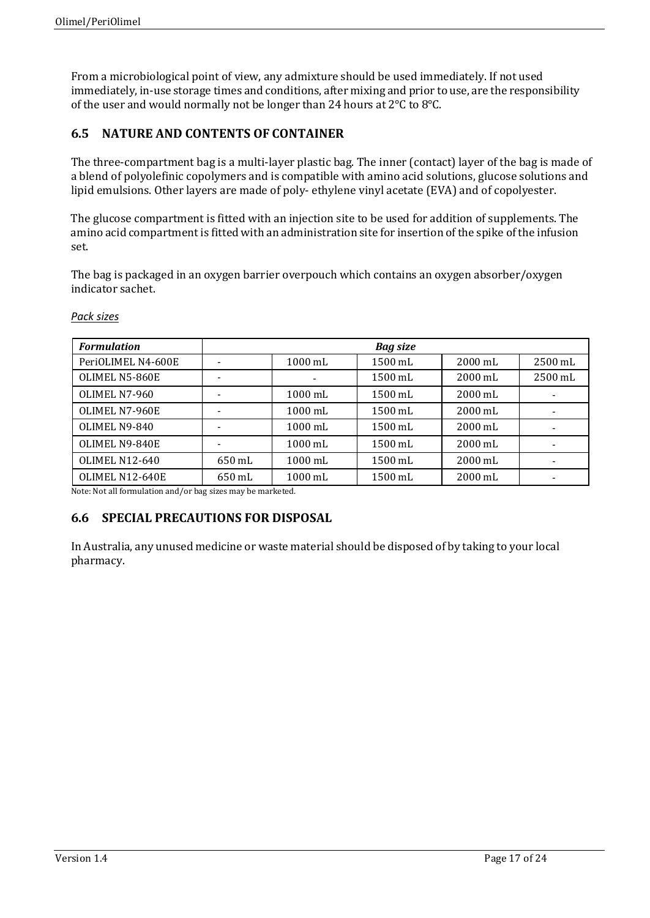From a microbiological point of view, any admixture should be used immediately. If not used immediately, in-use storage times and conditions, after mixing and prior to use, are the responsibility of the user and would normally not be longer than 24 hours at 2°C to 8°C.

# **6.5 NATURE AND CONTENTS OF CONTAINER**

The three-compartment bag is a multi-layer plastic bag. The inner (contact) layer of the bag is made of a blend of polyolefinic copolymers and is compatible with amino acid solutions, glucose solutions and lipid emulsions. Other layers are made of poly- ethylene vinyl acetate (EVA) and of copolyester.

The glucose compartment is fitted with an injection site to be used for addition of supplements. The amino acid compartment is fitted with an administration site for insertion of the spike of the infusion set.

The bag is packaged in an oxygen barrier overpouch which contains an oxygen absorber/oxygen indicator sachet.

| <b>Formulation</b>    |        |                   | <b>Bag size</b>   |                   |         |
|-----------------------|--------|-------------------|-------------------|-------------------|---------|
| PeriOLIMEL N4-600E    |        | $1000 \text{ mL}$ | 1500 mL           | 2000 mL           | 2500 mL |
| OLIMEL N5-860E        |        |                   | 1500 mL           | 2000 mL           | 2500 mL |
| OLIMEL N7-960         |        | $1000 \text{ mL}$ | 1500 mL           | 2000 mL           |         |
| OLIMEL N7-960E        |        | $1000 \text{ mL}$ | 1500 mL           | $2000 \text{ mL}$ |         |
| OLIMEL N9-840         |        | 1000 mL           | 1500 mL           | $2000 \text{ mL}$ |         |
| OLIMEL N9-840E        |        | 1000 mL           | $1500 \text{ mL}$ | $2000 \text{ mL}$ |         |
| <b>OLIMEL N12-640</b> | 650 mL | 1000 mL           | 1500 mL           | 2000 mL           |         |
| OLIMEL N12-640E       | 650 mL | 1000 mL           | 1500 mL           | 2000 mL           |         |

### *Pack sizes*

Note: Not all formulation and/or bag sizes may be marketed.

## **6.6 SPECIAL PRECAUTIONS FOR DISPOSAL**

In Australia, any unused medicine or waste material should be disposed of by taking to your local pharmacy.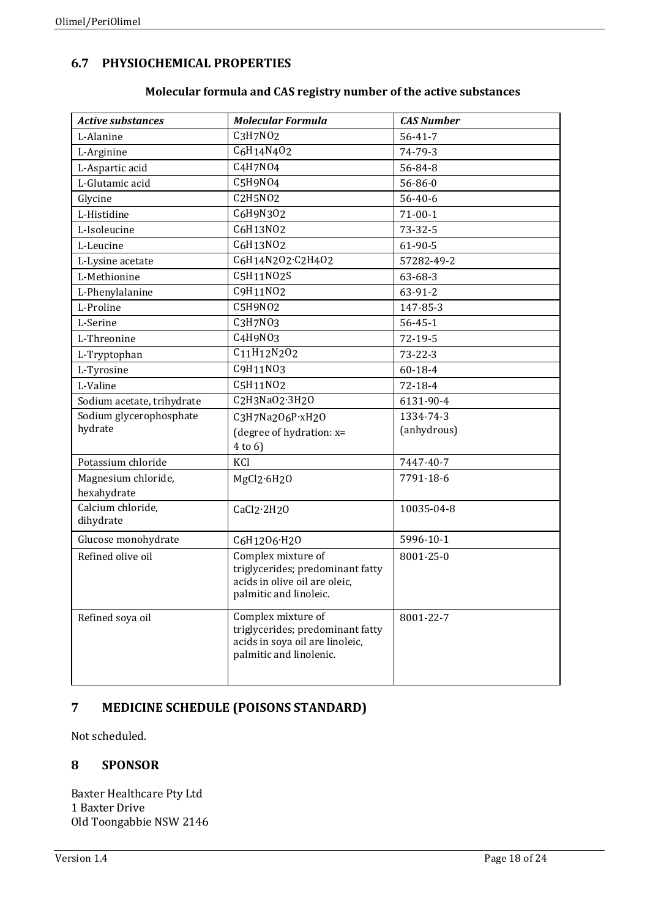# **6.7 PHYSIOCHEMICAL PROPERTIES**

| <b>Active substances</b>       | <b>Molecular Formula</b>                                   | <b>CAS Number</b> |
|--------------------------------|------------------------------------------------------------|-------------------|
| L-Alanine                      | C3H7N02                                                    | $56 - 41 - 7$     |
| L-Arginine                     | C6H14N4O2                                                  | 74-79-3           |
| L-Aspartic acid                | C <sub>4</sub> H <sub>7</sub> NO <sub>4</sub>              | 56-84-8           |
| L-Glutamic acid                | C5H9NO4                                                    | 56-86-0           |
| Glycine                        | C <sub>2</sub> H <sub>5</sub> NO <sub>2</sub>              | $56 - 40 - 6$     |
| L-Histidine                    | C6H9N302                                                   | $71 - 00 - 1$     |
| L-Isoleucine                   | C6H13NO2                                                   | $73 - 32 - 5$     |
| L-Leucine                      | C6H13N02                                                   | $61-90-5$         |
| L-Lysine acetate               | C6H14N2O2.C2H4O2                                           | 57282-49-2        |
| L-Methionine                   | C5H11N02S                                                  | 63-68-3           |
| L-Phenylalanine                | C9H11N02                                                   | 63-91-2           |
| L-Proline                      | C5H9N02                                                    | 147-85-3          |
| L-Serine                       | C3H7N03                                                    | $56 - 45 - 1$     |
| L-Threonine                    | C4H9N03                                                    | $72 - 19 - 5$     |
| L-Tryptophan                   | C11H12N2O2                                                 | $73 - 22 - 3$     |
| L-Tyrosine                     | C9H11N03                                                   | $60 - 18 - 4$     |
| L-Valine                       | C5H11NO2                                                   | 72-18-4           |
| Sodium acetate, trihydrate     | C2H3NaO2.3H2O                                              | 6131-90-4         |
| Sodium glycerophosphate        | C3H7Na2O6P·xH2O                                            | 1334-74-3         |
| hydrate                        | (degree of hydration: x=                                   | (anhydrous)       |
|                                | $4$ to $6$ )                                               |                   |
| Potassium chloride             | KCl                                                        | 7447-40-7         |
| Magnesium chloride,            | MgCl2.6H2O                                                 | 7791-18-6         |
| hexahydrate                    |                                                            |                   |
| Calcium chloride,<br>dihydrate | CaCl2.2H2O                                                 | 10035-04-8        |
|                                |                                                            | 5996-10-1         |
| Glucose monohydrate            | C6H12O6·H2O                                                |                   |
| Refined olive oil              | Complex mixture of<br>triglycerides; predominant fatty     | 8001-25-0         |
|                                | acids in olive oil are oleic,                              |                   |
|                                | palmitic and linoleic.                                     |                   |
| Refined soya oil               | Complex mixture of                                         | 8001-22-7         |
|                                | triglycerides; predominant fatty                           |                   |
|                                | acids in soya oil are linoleic,<br>palmitic and linolenic. |                   |
|                                |                                                            |                   |
|                                |                                                            |                   |

# **Molecular formula and CAS registry number of the active substances**

# **7 MEDICINE SCHEDULE (POISONS STANDARD)**

Not scheduled.

# **8 SPONSOR**

Baxter Healthcare Pty Ltd 1 Baxter Drive Old Toongabbie NSW 2146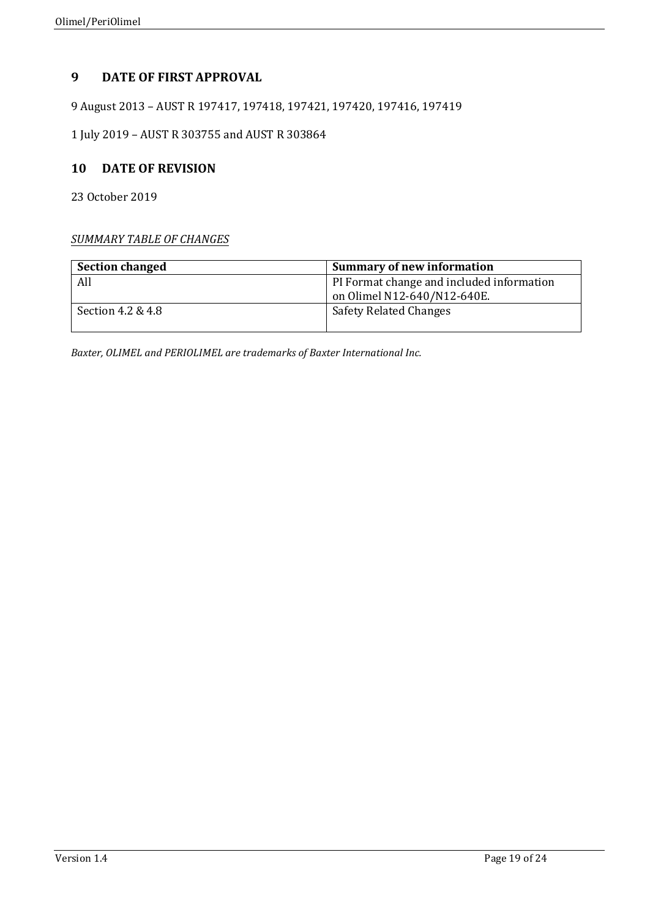# **9 DATE OF FIRST APPROVAL**

9 August 2013 – AUST R 197417, 197418, 197421, 197420, 197416, 197419

1 July 2019 – AUST R 303755 and AUST R 303864

## **10 DATE OF REVISION**

23 October 2019

## *SUMMARY TABLE OF CHANGES*

| <b>Section changed</b> | <b>Summary of new information</b>                                        |
|------------------------|--------------------------------------------------------------------------|
| All                    | PI Format change and included information<br>on Olimel N12-640/N12-640E. |
| Section 4.2 & 4.8      | <b>Safety Related Changes</b>                                            |

*Baxter, OLIMEL and PERIOLIMEL are trademarks of Baxter International Inc.*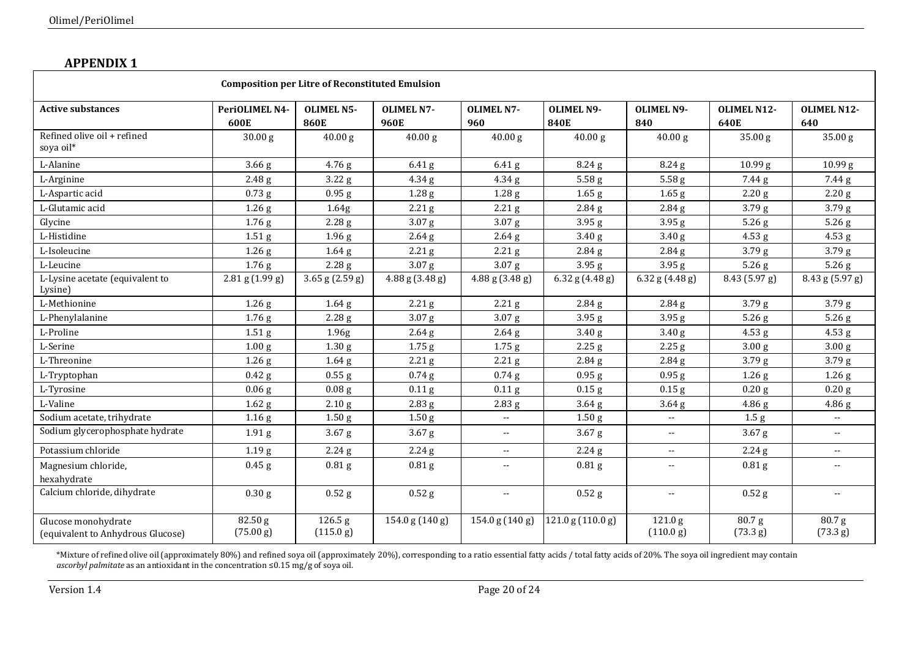# **APPENDIX 1**

| <b>Composition per Litre of Reconstituted Emulsion</b>   |                        |                                   |                           |                              |                                  |                                 |                            |                         |
|----------------------------------------------------------|------------------------|-----------------------------------|---------------------------|------------------------------|----------------------------------|---------------------------------|----------------------------|-------------------------|
| <b>Active substances</b>                                 | PeriOLIMEL N4-<br>600E | <b>OLIMEL N5-</b><br><b>860E</b>  | <b>OLIMEL N7-</b><br>960E | <b>OLIMEL N7-</b><br>960     | <b>OLIMEL N9-</b><br><b>840E</b> | <b>OLIMEL N9-</b><br>840        | <b>OLIMEL N12-</b><br>640E | OLIMEL N12-<br>640      |
| Refined olive oil + refined<br>soya oil*                 | 30.00 <sub>g</sub>     | 40.00 g                           | 40.00 g                   | 40.00 g                      | 40.00 g                          | 40.00 g                         | 35.00 g                    | 35.00g                  |
| L-Alanine                                                | $3.66\$ g              | 4.76 g                            | $6.41$ g                  | $6.41\,\mathrm{g}$           | 8.24 <sub>g</sub>                | 8.24 <sub>g</sub>               | 10.99 g                    | 10.99 g                 |
| L-Arginine                                               | 2.48 <sub>g</sub>      | 3.22 g                            | 4.34 <sub>g</sub>         | 4.34g                        | 5.58 <sub>g</sub>                | 5.58g                           | 7.44 g                     | 7.44 g                  |
| L-Aspartic acid                                          | $0.73$ g               | $0.95$ g                          | 1.28 g                    | 1.28 <sub>g</sub>            | $1.65$ g                         | $1.65$ g                        | 2.20 g                     | 2.20 g                  |
| L-Glutamic acid                                          | 1.26 g                 | 1.64g                             | 2.21 <sub>g</sub>         | 2.21 <sub>g</sub>            | 2.84 <sub>g</sub>                | 2.84 <sub>g</sub>               | 3.79 <sub>g</sub>          | 3.79g                   |
| Glycine                                                  | 1.76g                  | 2.28 <sub>g</sub>                 | 3.07 <sub>g</sub>         | 3.07 <sub>g</sub>            | 3.95 <sub>g</sub>                | 3.95g                           | $5.26$ g                   | 5.26g                   |
| L-Histidine                                              | 1.51 <sub>g</sub>      | 1.96 <sub>g</sub>                 | $2.64$ g                  | 2.64 <sub>g</sub>            | 3.40 <sub>g</sub>                | 3.40 <sub>g</sub>               | $4.53$ g                   | $4.53$ g                |
| L-Isoleucine                                             | 1.26 <sub>g</sub>      | 1.64 <sub>g</sub>                 | 2.21 g                    | $2.21\,\mathrm{g}$           | 2.84 <sub>g</sub>                | 2.84g                           | 3.79 <sub>g</sub>          | 3.79 <sub>g</sub>       |
| L-Leucine                                                | 1.76g                  | 2.28 <sub>g</sub>                 | 3.07 <sub>g</sub>         | 3.07 <sub>g</sub>            | 3.95 <sub>g</sub>                | 3.95g                           | 5.26 g                     | $5.26$ g                |
| L-Lysine acetate (equivalent to<br>Lysine)               | $2.81$ g $(1.99$ g)    | $3.65$ g $(2.59$ g)               | 4.88 g (3.48 g)           | $4.88$ g $(3.48$ g)          | $6.32$ g $(4.48$ g)              | 6.32 g $(4.48 g)$               | 8.43 (5.97 g)              | 8.43 g (5.97 g)         |
| L-Methionine                                             | 1.26 g                 | $1.64\$ g                         | 2.21 g                    | 2.21 g                       | 2.84 <sub>g</sub>                | 2.84 g                          | 3.79 g                     | 3.79g                   |
| L-Phenylalanine                                          | 1.76g                  | 2.28g                             | 3.07 g                    | 3.07 <sub>g</sub>            | 3.95 <sub>g</sub>                | 3.95 g                          | 5.26 g                     | $5.26$ g                |
| L-Proline                                                | 1.51 <sub>g</sub>      | 1.96g                             | $2.64\$                   | $2.64\$                      | 3.40 <sub>g</sub>                | 3.40 <sub>g</sub>               | 4.53 g                     | 4.53 g                  |
| L-Serine                                                 | 1.00 <sub>g</sub>      | 1.30 <sub>g</sub>                 | $1.75$ g                  | 1.75 <sub>g</sub>            | 2.25 <sub>g</sub>                | 2.25g                           | 3.00 <sub>g</sub>          | 3.00 <sub>g</sub>       |
| L-Threonine                                              | 1.26 <sub>g</sub>      | 1.64 <sub>g</sub>                 | 2.21 g                    | $2.21\$                      | 2.84 <sub>g</sub>                | 2.84 <sub>g</sub>               | 3.79 <sub>g</sub>          | 3.79 <sub>g</sub>       |
| L-Tryptophan                                             | $0.42$ g               | $0.55$ g                          | $0.74$ g                  | $0.74$ g                     | $0.95$ g                         | 0.95 <sub>g</sub>               | 1.26 <sub>g</sub>          | 1.26 <sub>g</sub>       |
| L-Tyrosine                                               | 0.06 g                 | 0.08 <sub>g</sub>                 | $0.11\$                   | $0.11\$                      | $0.15$ g                         | $0.15$ g                        | 0.20 g                     | 0.20 g                  |
| L-Valine                                                 | 1.62 <sub>g</sub>      | 2.10 <sub>g</sub>                 | 2.83 <sub>g</sub>         | 2.83 <sub>g</sub>            | 3.64 <sub>g</sub>                | 3.64 <sub>g</sub>               | 4.86 <sub>g</sub>          | 4.86g                   |
| Sodium acetate, trihydrate                               | 1.16 <sub>g</sub>      | 1.50 <sub>g</sub>                 | 1.50 <sub>g</sub>         | $\mathbf{u}$                 | 1.50 <sub>g</sub>                | $\overline{\phantom{a}}$        | 1.5 <sub>g</sub>           | $\mathbb{L} \mathbb{L}$ |
| Sodium glycerophosphate hydrate                          | 1.91 <sub>g</sub>      | $3.67$ g                          | 3.67 <sub>g</sub>         | $\sim$ $\sim$                | 3.67 <sub>g</sub>                | $\overline{\phantom{a}}$        | 3.67 <sub>g</sub>          | $\sim$ $\sim$           |
| Potassium chloride                                       | 1.19 <sub>g</sub>      | 2.24g                             | 2.24 <sub>g</sub>         | $\sim$ $\sim$                | 2.24 <sub>g</sub>                | $\sim$ $\sim$                   | 2.24g                      | $\sim$ $\sim$           |
| Magnesium chloride,<br>hexahydrate                       | $0.45$ g               | 0.81 <sub>g</sub>                 | 0.81 <sub>g</sub>         | $\mathbf{u}$                 | 0.81 <sub>g</sub>                | $\overline{\phantom{a}}$        | 0.81 <sub>g</sub>          | $\mathbf{u}$            |
| Calcium chloride, dihydrate                              | 0.30 g                 | $0.52$ g                          | $0.52$ g                  | $\mathbf{u}$                 | $0.52$ g                         | $\overline{\phantom{a}}$        | $0.52$ g                   | $\sim$ $\sim$           |
| Glucose monohydrate<br>(equivalent to Anhydrous Glucose) | 82.50g<br>(75.00 g)    | $\overline{126.5}$ g<br>(115.0 g) | 154.0 g (140 g)           | $\overline{154.0}$ g (140 g) | 121.0 g (110.0 g)                | 121.0 <sub>g</sub><br>(110.0 g) | 80.7g<br>(73.3 g)          | 80.7g<br>(73.3 g)       |

\*Mixture of refined olive oil (approximately 80%) and refined soya oil (approximately 20%), corresponding to a ratio essential fatty acids / total fatty acids of 20%. The soya oil ingredient may contain<br>*ascorbyl palmitat*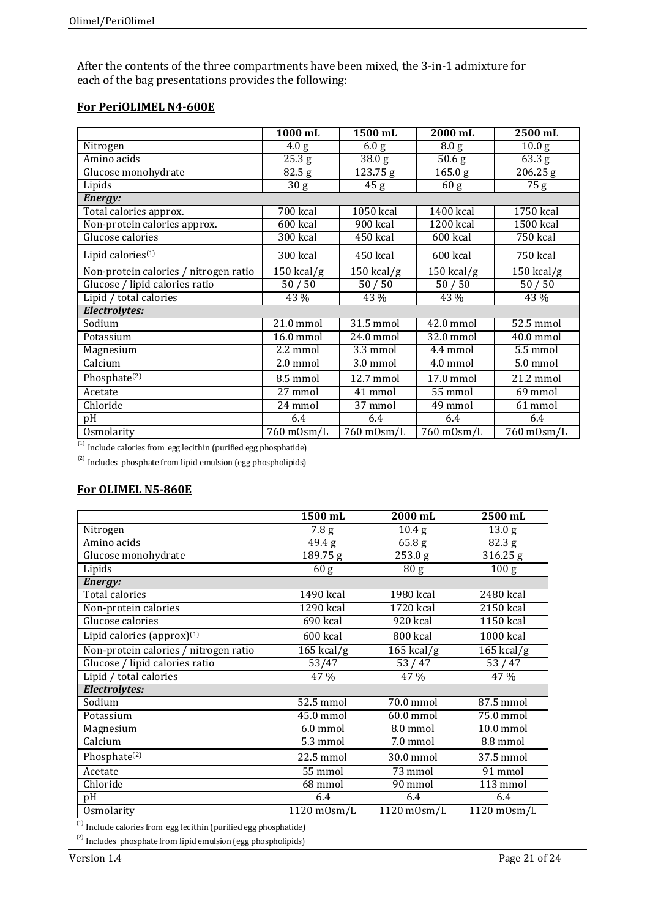After the contents of the three compartments have been mixed, the 3-in-1 admixture for each of the bag presentations provides the following:

# **For PeriOLIMEL N4-600E**

|                                       | 1000 mL                | 1500 mL               | 2000 mL           | 2500 mL                 |
|---------------------------------------|------------------------|-----------------------|-------------------|-------------------------|
| Nitrogen                              | 4.0 g                  | $\overline{6.0}$ g    | 8.0 <sub>g</sub>  | 10.0 <sub>g</sub>       |
| Amino acids                           | 25.3 g                 | 38.0 <sub>g</sub>     | 50.6 <sub>g</sub> | 63.3 g                  |
| Glucose monohydrate                   | 82.5 <sub>g</sub>      | $\sqrt{123.75}$ g     | 165.0 g           | $\sqrt{206.25}$ g       |
| Lipids                                | 30 <sub>g</sub>        | 45 g                  | 60 g              | 75 g                    |
| Energy:                               |                        |                       |                   |                         |
| Total calories approx.                | 700 kcal               | 1050 kcal             | 1400 kcal         | 1750 kcal               |
| Non-protein calories approx.          | 600 kcal               | 900 kcal              | 1200 kcal         | 1500 kcal               |
| Glucose calories                      | $\overline{300}$ kcal  | 450 kcal              | 600 kcal          | 750 kcal                |
| Lipid calories <sup>(1)</sup>         | 300 kcal               | 450 kcal              | 600 kcal          | 750 kcal                |
| Non-protein calories / nitrogen ratio | $150$ kcal/g           | $150$ kcal/g          | $150$ kcal/g      | $150$ kcal/g            |
| Glucose / lipid calories ratio        | 50/50                  | 50/50                 | 50/50             | 50/50                   |
| Lipid / total calories                | 43 %                   | 43 %                  | 43 %              | 43 %                    |
| Electrolytes:                         |                        |                       |                   |                         |
| Sodium                                | $21.0$ mmol            | 31.5 mmol             | 42.0 mmol         | 52.5 mmol               |
| Potassium                             | $\overline{16.0}$ mmol | 24.0 mmol             | 32.0 mmol         | $\overline{40.0}$ mmol  |
| Magnesium                             | 2.2 mmol               | $\overline{3.3}$ mmol | 4.4 mmol          | 5.5 mmol                |
| Calcium                               | 2.0 mmol               | 3.0 mmol              | 4.0 mmol          | 5.0 mmol                |
| Phosphate <sup>(2)</sup>              | 8.5 mmol               | 12.7 mmol             | 17.0 mmol         | 21.2 mmol               |
| Acetate                               | 27 mmol                | 41 mmol               | 55 mmol           | 69 mmol                 |
| Chloride                              | 24 mmol                | $\overline{37}$ mmol  | 49 mmol           | 61 mmol                 |
| pH                                    | 6.4                    | 6.4                   | 6.4               | 6.4                     |
| Osmolarity                            | 760 m0sm/L             | 760 m0sm/L            | 760 m0sm/L        | $\overline{760}$ mOsm/L |

 $(1)$  Include calories from egg lecithin (purified egg phosphatide)

 $^{(2)}$  Includes phosphate from lipid emulsion (egg phospholipids)

## **For OLIMEL N5-860E**

|                                        | 1500 mL                                | 2000 mL                          | 2500 mL                          |
|----------------------------------------|----------------------------------------|----------------------------------|----------------------------------|
| Nitrogen                               | 7.8 g                                  | 10.4 <sub>g</sub>                | 13.0 <sub>g</sub>                |
| Amino acids                            | 49.4 g                                 | 65.8 <sub>g</sub>                | 82.3 g                           |
| Glucose monohydrate                    | 189.75 g                               | 253.0 g                          | 316.25 g                         |
| Lipids                                 | 60 g                                   | 80 g                             | 100 <sub>g</sub>                 |
| <b>Energy:</b>                         |                                        |                                  |                                  |
| <b>Total calories</b>                  | 1490 kcal                              | 1980 kcal                        | 2480 kcal                        |
| Non-protein calories                   | 1290 kcal                              | 1720 kcal                        | 2150 kcal                        |
| Glucose calories                       | 690 kcal                               | 920 kcal                         | 1150 kcal                        |
| Lipid calories (approx) <sup>(1)</sup> | 600 kcal                               | 800 kcal                         | 1000 kcal                        |
| Non-protein calories / nitrogen ratio  | $165$ kcal/g                           | $\overline{165}$ kcal/g          | $165$ kcal/g                     |
| Glucose / lipid calories ratio         | 53/47                                  | 53/47                            | 53/47                            |
| Lipid / total calories                 | 47 %                                   | 47 %                             | 47 %                             |
| Electrolytes:                          |                                        |                                  |                                  |
| Sodium                                 | 52.5 mmol                              | 70.0 mmol                        | 87.5 mmol                        |
| Potassium                              | 45.0 mmol                              | $60.0$ mmol                      | 75.0 mmol                        |
| Magnesium                              | 6.0 mmol                               | 8.0 mmol                         | 10.0 mmol                        |
| Calcium                                | $5.3$ mmol                             | 7.0 mmol                         | 8.8 mmol                         |
| Phosphate <sup>(2)</sup>               | 22.5 mmol                              | 30.0 mmol                        | 37.5 mmol                        |
| Acetate                                | 55 mmol                                | 73 mmol                          | 91 mmol                          |
| Chloride                               | 68 mmol                                | 90 mmol                          | 113 mmol                         |
| pH                                     | 6.4                                    | 6.4                              | 6.4                              |
| Osmolarity                             | $\overline{1120}$ m $\overline{Osm/L}$ | $\overline{11}20 \text{ mOsm/L}$ | $\overline{11}20 \text{ mOsm/L}$ |

(1) Include calories from egg lecithin (purified egg phosphatide)

 $(2)$  Includes phosphate from lipid emulsion (egg phospholipids)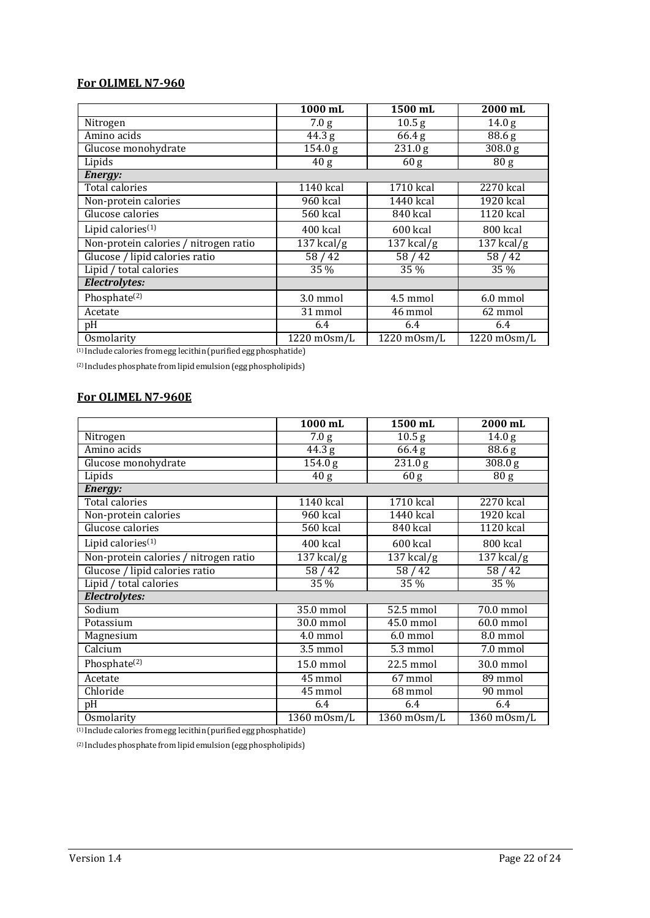## **For OLIMEL N7-960**

|                                       | 1000 mL               | 1500 mL              | 2000 mL               |
|---------------------------------------|-----------------------|----------------------|-----------------------|
| Nitrogen                              | 7.0 g                 | 10.5 <sub>g</sub>    | 14.0 <sub>g</sub>     |
| Amino acids                           | $\overline{4}$ 4.3 g  | $\overline{6}$ 6.4 g | 88.6 g                |
| Glucose monohydrate                   | 154.0 g               | 231.0 g              | 308.0 g               |
| Lipids                                | 40 g                  | 60 g                 | 80 <sub>g</sub>       |
| Energy:                               |                       |                      |                       |
| Total calories                        | 1140 kcal             | 1710 kcal            | 2270 kcal             |
| Non-protein calories                  | 960 kcal              | 1440 kcal            | 1920 kcal             |
| Glucose calories                      | 560 kcal              | 840 kcal             | 1120 kcal             |
| Lipid calories <sup>(1)</sup>         | 400 kcal              | 600 kcal             | 800 kcal              |
| Non-protein calories / nitrogen ratio | $137$ kcal/g          | $137$ kcal/g         | $137$ kcal/g          |
| Glucose / lipid calories ratio        | 58/42                 | 58/42                | 58/42                 |
| Lipid / total calories                | 35 %                  | 35 %                 | 35 %                  |
| Electrolytes:                         |                       |                      |                       |
| Phosphate <sup>(2)</sup>              | 3.0 mmol              | 4.5 mmol             | 6.0 mmol              |
| Acetate                               | 31 mmol               | 46 mmol              | 62 mmol               |
| pH                                    | 6.4                   | 6.4                  | 6.4                   |
| <b>Osmolarity</b>                     | $1220 \text{ mOsm/L}$ | $1220$ m $0$ sm/L    | $1220 \text{ mOsm/L}$ |

(1) Include calories fromegg lecithin(purifiedegg phosphatide)

(2) Includes phosphate from lipid emulsion(egg phospholipids)

## **For OLIMEL N7-960E**

|                                       | 1000 mL                          | 1500 mL             | 2000 mL           |
|---------------------------------------|----------------------------------|---------------------|-------------------|
| Nitrogen                              | 7.0 g                            | $\overline{10.5}$ g | 14.0 <sub>g</sub> |
| Amino acids                           | $\overline{44.3}$ g              | 66.4 g              | 88.6 g            |
| Glucose monohydrate                   | 154.0 g                          | 231.0 g             | 308.0 g           |
| Lipids                                | 40 <sub>g</sub>                  | 60 g                | 80 g              |
| Energy:                               |                                  |                     |                   |
| Total calories                        | 1140 kcal                        | 1710 kcal           | 2270 kcal         |
| Non-protein calories                  | 960 kcal                         | 1440 kcal           | 1920 kcal         |
| Glucose calories                      | 560 kcal                         | 840 kcal            | 1120 kcal         |
| Lipid calories $(1)$                  | 400 kcal                         | 600 kcal            | 800 kcal          |
| Non-protein calories / nitrogen ratio | $\overline{137 \text{ kcal}}$ /g | $137$ kcal/g        | $137$ kcal/g      |
| Glucose / lipid calories ratio        | 58/42                            | 58/42               | 58/42             |
| Lipid / total calories                | 35 %                             | $\overline{35}$ %   | 35 %              |
| Electrolytes:                         |                                  |                     |                   |
| Sodium                                | 35.0 mmol                        | 52.5 mmol           | 70.0 mmol         |
| Potassium                             | 30.0 mmol                        | 45.0 mmol           | 60.0 mmol         |
| Magnesium                             | 4.0 mmol                         | 6.0 mmol            | 8.0 mmol          |
| Calcium                               | 3.5 mmol                         | 5.3 mmol            | 7.0 mmol          |
| Phosphate <sup>(2)</sup>              | 15.0 mmol                        | 22.5 mmol           | 30.0 mmol         |
| Acetate                               | 45 mmol                          | 67 mmol             | 89 mmol           |
| Chloride                              | 45 mmol                          | 68 mmol             | 90 mmol           |
| pH                                    | 6.4                              | 6.4                 | 6.4               |
| Osmolarity                            | 1360 m0sm/L                      | 1360 m0sm/L         | 1360 m0sm/L       |

 $^{(1)}$  Include calories from egg lecithin (purified egg phosphatide)

(2) Includes phosphate from lipid emulsion(egg phospholipids)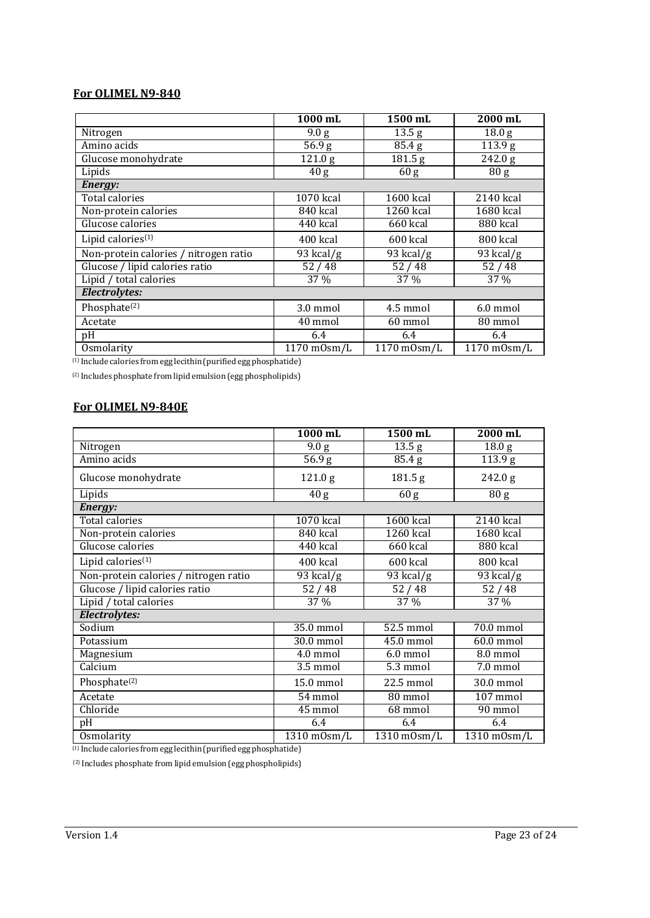## **For OLIMEL N9-840**

|                                       | 1000 mL             | 1500 mL              | 2000 mL                  |
|---------------------------------------|---------------------|----------------------|--------------------------|
| Nitrogen                              | 9.0 g               | 13.5 <sub>g</sub>    | 18.0 <sub>g</sub>        |
| Amino acids                           | $\overline{5}6.9$ g | $\overline{8}$ 5.4 g | $\overline{1}$ 13.9 g    |
| Glucose monohydrate                   | 121.0 g             | 181.5 g              | 242.0 g                  |
| Lipids                                | 40 g                | 60 g                 | 80 g                     |
| Energy:                               |                     |                      |                          |
| <b>Total calories</b>                 | 1070 kcal           | 1600 kcal            | 2140 kcal                |
| Non-protein calories                  | 840 kcal            | 1260 kcal            | 1680 kcal                |
| Glucose calories                      | 440 kcal            | 660 kcal             | 880 kcal                 |
| Lipid calories <sup>(1)</sup>         | 400 kcal            | 600 kcal             | 800 kcal                 |
| Non-protein calories / nitrogen ratio | 93 kcal/g           | 93 kcal/g            | 93 kcal/g                |
| Glucose / lipid calories ratio        | 52/48               | 52/48                | 52/48                    |
| Lipid / total calories                | 37 %                | 37 %                 | 37 %                     |
| Electrolytes:                         |                     |                      |                          |
| Phosphate <sup>(2)</sup>              | 3.0 mmol            | 4.5 mmol             | $6.0 \text{ mmol}$       |
| Acetate                               | 40 mmol             | 60 mmol              | 80 mmol                  |
| pH                                    | 6.4                 | 6.4                  | 6.4                      |
| Osmolarity                            | 1170 m0sm/L         | $1170$ m $0$ sm $/L$ | $\overline{1170}$ mOsm/L |

(1) Include calories fromegg lecithin(purifiedegg phosphatide)

(2) Includes phosphate from lipid emulsion(egg phospholipids)

## **For OLIMEL N9-840E**

|                                       | 1000 mL                | 1500 mL                  | 2000 mL                          |
|---------------------------------------|------------------------|--------------------------|----------------------------------|
| Nitrogen                              | 9.0 g                  | 13.5 <sub>g</sub>        | 18.0 <sub>g</sub>                |
| Amino acids                           | 56.9 <sub>g</sub>      | 85.4 g                   | $\overline{1}$ 13.9 g            |
| Glucose monohydrate                   | 121.0 g                | 181.5 g                  | 242.0 g                          |
| Lipids                                | 40 g                   | 60 <sub>g</sub>          | 80 <sub>g</sub>                  |
| Energy:                               |                        |                          |                                  |
| Total calories                        | 1070 kcal              | 1600 kcal                | 2140 kcal                        |
| Non-protein calories                  | 840 kcal               | 1260 kcal                | 1680 kcal                        |
| Glucose calories                      | 440 kcal               | 660 kcal                 | 880 kcal                         |
| Lipid calories $(1)$                  | 400 kcal               | 600 kcal                 | 800 kcal                         |
| Non-protein calories / nitrogen ratio | $\overline{93}$ kcal/g | 93 kcal/g                | 93 kcal/g                        |
| Glucose / lipid calories ratio        | 52/48                  | 52/48                    | 52/48                            |
| Lipid / total calories                | 37 %                   | 37 %                     | 37 %                             |
| Electrolytes:                         |                        |                          |                                  |
| Sodium                                | 35.0 mmol              | 52.5 mmol                | 70.0 mmol                        |
| Potassium                             | 30.0 mmol              | 45.0 mmol                | 60.0 mmol                        |
| Magnesium                             | 4.0 mmol               | 6.0 mmol                 | 8.0 mmol                         |
| Calcium                               | 3.5 mmol               | 5.3 mmol                 | $\overline{7.0}$ mmol            |
| Phosphate <sup>(2)</sup>              | 15.0 mmol              | 22.5 mmol                | 30.0 mmol                        |
| Acetate                               | 54 mmol                | $80$ mmol                | $107$ mmol                       |
| Chloride                              | 45 mmol                | 68 mmol                  | $\overline{90}$ mmol             |
| pH                                    | 6.4                    | 6.4                      | 6.4                              |
| Osmolarity                            | 1310 m0sm/L            | $\overline{1310}$ mOsm/L | $\overline{13}10 \text{ mOsm/L}$ |

(1) Include calories fromegg lecithin(purifiedegg phosphatide)

 $\,^{\rm (2)}$  Includes phosphate from lipid emulsion (egg phospholipids)